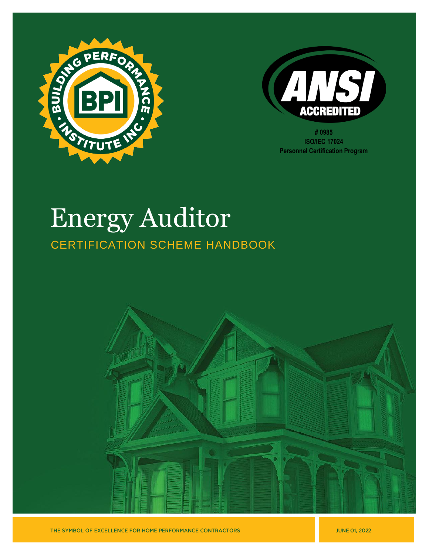



**# 0985 ISO/IEC 17024 Personnel Certification Program**

# Energy Auditor CERTIFICATION SCHEME HANDBOOK

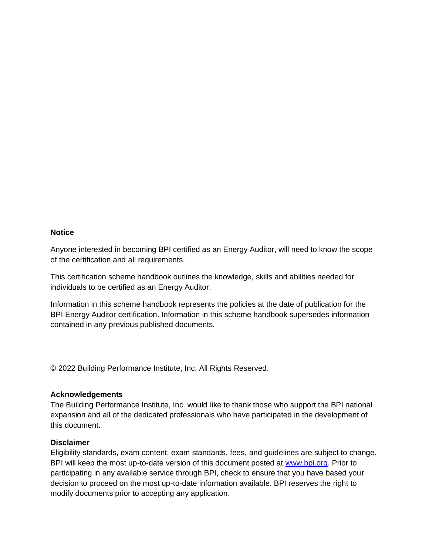#### **Notice**

Anyone interested in becoming BPI certified as an Energy Auditor, will need to know the scope of the certification and all requirements.

This certification scheme handbook outlines the knowledge, skills and abilities needed for individuals to be certified as an Energy Auditor.

Information in this scheme handbook represents the policies at the date of publication for the BPI Energy Auditor certification. Information in this scheme handbook supersedes information contained in any previous published documents.

© 2022 Building Performance Institute, Inc. All Rights Reserved.

#### **Acknowledgements**

The Building Performance Institute, Inc. would like to thank those who support the BPI national expansion and all of the dedicated professionals who have participated in the development of this document.

#### **Disclaimer**

Eligibility standards, exam content, exam standards, fees, and guidelines are subject to change. BPI will keep the most up-to-date version of this document posted at [www.bpi.org.](http://www.bpi.org/) Prior to participating in any available service through BPI, check to ensure that you have based your decision to proceed on the most up-to-date information available. BPI reserves the right to modify documents prior to accepting any application.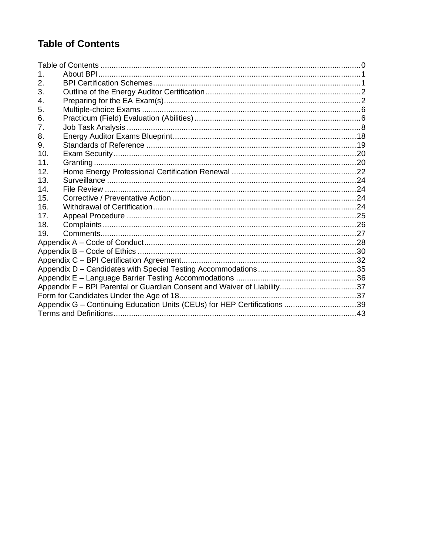# <span id="page-2-0"></span>**Table of Contents**

| 1.  |                                                                          |  |
|-----|--------------------------------------------------------------------------|--|
| 2.  |                                                                          |  |
| 3.  |                                                                          |  |
| 4.  |                                                                          |  |
| 5.  |                                                                          |  |
| 6.  |                                                                          |  |
| 7.  |                                                                          |  |
| 8.  |                                                                          |  |
| 9.  |                                                                          |  |
| 10. |                                                                          |  |
| 11. |                                                                          |  |
| 12. |                                                                          |  |
| 13. |                                                                          |  |
| 14. |                                                                          |  |
| 15. |                                                                          |  |
| 16. |                                                                          |  |
| 17. |                                                                          |  |
| 18. |                                                                          |  |
| 19. |                                                                          |  |
|     |                                                                          |  |
|     |                                                                          |  |
|     |                                                                          |  |
|     |                                                                          |  |
|     |                                                                          |  |
|     |                                                                          |  |
|     |                                                                          |  |
|     | Appendix G - Continuing Education Units (CEUs) for HEP Certifications 39 |  |
|     |                                                                          |  |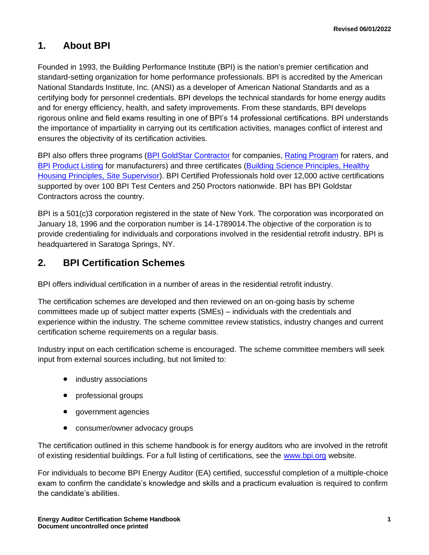### <span id="page-3-0"></span>**1. About BPI**

Founded in 1993, the Building Performance Institute (BPI) is the nation's premier certification and standard-setting organization for home performance professionals. BPI is accredited by the American National Standards Institute, Inc. (ANSI) as a developer of American National Standards and as a certifying body for personnel credentials. BPI develops the technical standards for home energy audits and for energy efficiency, health, and safety improvements. From these standards, BPI develops rigorous online and field exams resulting in one of BPI's 14 professional certifications. BPI understands the importance of impartiality in carrying out its certification activities, manages conflict of interest and ensures the objectivity of its certification activities.

BPI also offers three programs [\(BPI GoldStar](http://www.bpi.org/bpi-goldstar-contractors) Contractor for companies, [Rating Program](http://www.bpi.org/bpi-raters) for raters, and [BPI](http://www.bpi.org/product-listing) [Product](http://www.bpi.org/product-listing) Listing for manufacturers) and three certificates (Building [Science Principles,](http://www.bpi.org/building-science-principles) [Healthy](http://www.bpi.org/healthy-housing-principles)  [Housing Principles,](http://www.bpi.org/healthy-housing-principles) [Site Supervisor\)](http://www.bpi.org/sitesupervisorcertificate). BPI Certified Professionals hold over 12,000 active certifications supported by over 100 BPI Test Centers and 250 Proctors nationwide. BPI has BPI Goldstar Contractors across the country.

BPI is a 501(c)3 corporation registered in the state of New York. The corporation was incorporated on January 18, 1996 and the corporation number is 14-1789014.The objective of the corporation is to provide credentialing for individuals and corporations involved in the residential retrofit industry. BPI is headquartered in Saratoga Springs, NY.

### <span id="page-3-1"></span>**2. BPI Certification Schemes**

BPI offers individual certification in a number of areas in the residential retrofit industry.

The certification schemes are developed and then reviewed on an on-going basis by scheme committees made up of subject matter experts (SMEs) – individuals with the credentials and experience within the industry. The scheme committee review statistics, industry changes and current certification scheme requirements on a regular basis.

Industry input on each certification scheme is encouraged. The scheme committee members will seek input from external sources including, but not limited to:

- industry associations
- professional groups
- government agencies
- consumer/owner advocacy groups

The certification outlined in this scheme handbook is for energy auditors who are involved in the retrofit of existing residential buildings. For a full listing of certifications, see the [www.bpi.org](http://www.bpi.org/) website.

For individuals to become BPI Energy Auditor (EA) certified, successful completion of a multiple-choice exam to confirm the candidate's knowledge and skills and a practicum evaluation is required to confirm the candidate's abilities.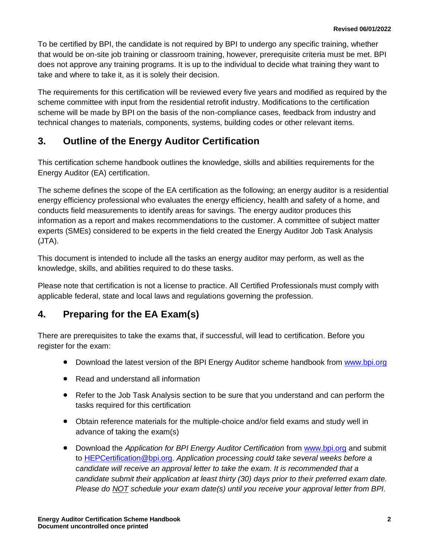To be certified by BPI, the candidate is not required by BPI to undergo any specific training, whether that would be on-site job training or classroom training, however, prerequisite criteria must be met. BPI does not approve any training programs. It is up to the individual to decide what training they want to take and where to take it, as it is solely their decision.

The requirements for this certification will be reviewed every five years and modified as required by the scheme committee with input from the residential retrofit industry. Modifications to the certification scheme will be made by BPI on the basis of the non-compliance cases, feedback from industry and technical changes to materials, components, systems, building codes or other relevant items.

### <span id="page-4-0"></span>**3. Outline of the Energy Auditor Certification**

This certification scheme handbook outlines the knowledge, skills and abilities requirements for the Energy Auditor (EA) certification.

The scheme defines the scope of the EA certification as the following; an energy auditor is a residential energy efficiency professional who evaluates the energy efficiency, health and safety of a home, and conducts field measurements to identify areas for savings. The energy auditor produces this information as a report and makes recommendations to the customer. A committee of subject matter experts (SMEs) considered to be experts in the field created the Energy Auditor Job Task Analysis (JTA).

This document is intended to include all the tasks an energy auditor may perform, as well as the knowledge, skills, and abilities required to do these tasks.

Please note that certification is not a license to practice. All Certified Professionals must comply with applicable federal, state and local laws and regulations governing the profession.

# <span id="page-4-1"></span>**4. Preparing for the EA Exam(s)**

There are prerequisites to take the exams that, if successful, will lead to certification. Before you register for the exam:

- Download the latest version of the BPI Energy Auditor scheme handbook from www.bpi.org
- Read and understand all information
- Refer to the Job Task Analysis section to be sure that you understand and can perform the tasks required for this certification
- Obtain reference materials for the multiple-choice and/or field exams and study well in advance of taking the exam(s)
- Download the *Application for BPI Energy Auditor Certification* from [www.bpi.org](http://www.bpi.org/certified-professionals/energy-auditor) and submit to [HEPCertification@bpi.org.](mailto:Pilot@bpi.org) *Application processing could take several weeks before a candidate will receive an approval letter to take the exam. It is recommended that a candidate submit their application at least thirty (30) days prior to their preferred exam date. Please do NOT schedule your exam date(s) until you receive your approval letter from BPI.*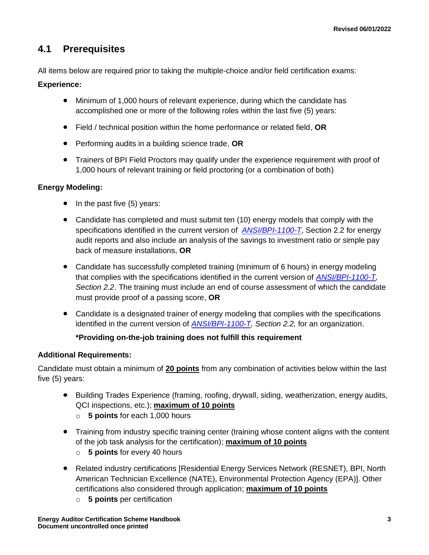### **4.1 Prerequisites**

All items below are required prior to taking the multiple-choice and/or field certification exams:

#### **Experience:**

- Minimum of 1,000 hours of relevant experience, during which the candidate has accomplished one or more of the following roles within the last five (5) years:
- Field / technical position within the home performance or related field, **OR**
- Performing audits in a building science trade, **OR**
- Trainers of BPI Field Proctors may qualify under the experience requirement with proof of 1,000 hours of relevant training or field proctoring (or a combination of both)

#### **Energy Modeling:**

- In the past five (5) years:
- Candidate has completed and must submit ten (10) energy models that comply with the specifications identified in the current version of *[ANSI/BPI-1100-T](http://www.bpi.org/standards/current-standards)*, Section 2.2 for energy audit reports and also include an analysis of the savings to investment ratio or simple pay back of measure installations, **OR**
- Candidate has successfully completed training (minimum of 6 hours) in energy modeling that complies with the specifications identified in the current version of *[ANSI/BPI-1100-T,](http://www.bpi.org/standards/current-standards) Section 2.2*. The training must include an end of course assessment of which the candidate must provide proof of a passing score, **OR**
- Candidate is a designated trainer of energy modeling that complies with the specifications identified in the current version of *[ANSI/BPI-1100-T,](http://www.bpi.org/standards/current-standards) Section 2.2,* for an organization.

#### **\*Providing on-the-job training does not fulfill this requirement**

#### **Additional Requirements:**

Candidate must obtain a minimum of **20 points** from any combination of activities below within the last five (5) years:

- Building Trades Experience (framing, roofing, drywall, siding, weatherization, energy audits, QCI inspections, etc.); **maximum of 10 points**
	- o **5 points** for each 1,000 hours
- Training from industry specific training center (training whose content aligns with the content of the job task analysis for the certification); **maximum of 10 points**
	- o **5 points** for every 40 hours
- Related industry certifications [Residential Energy Services Network (RESNET), BPI, North American Technician Excellence (NATE), Environmental Protection Agency (EPA)]. Other certifications also considered through application; **maximum of 10 points**
	- o **5 points** per certification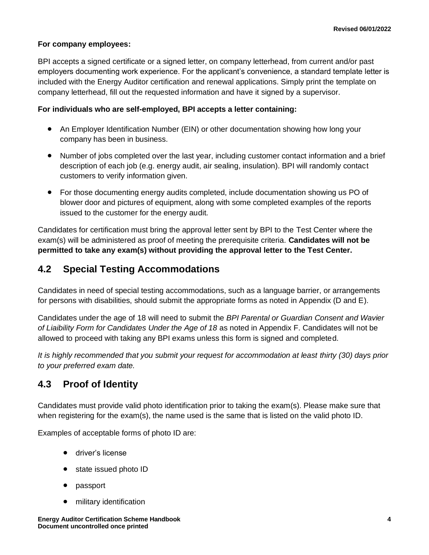#### **For company employees:**

BPI accepts a signed certificate or a signed letter, on company letterhead, from current and/or past employers documenting work experience. For the applicant's convenience, a standard template letter is included with the Energy Auditor certification and renewal applications. Simply print the template on company letterhead, fill out the requested information and have it signed by a supervisor.

#### **For individuals who are self-employed, BPI accepts a letter containing:**

- An Employer Identification Number (EIN) or other documentation showing how long your company has been in business.
- Number of jobs completed over the last year, including customer contact information and a brief description of each job (e.g. energy audit, air sealing, insulation). BPI will randomly contact customers to verify information given.
- For those documenting energy audits completed, include documentation showing us PO of blower door and pictures of equipment, along with some completed examples of the reports issued to the customer for the energy audit.

Candidates for certification must bring the approval letter sent by BPI to the Test Center where the exam(s) will be administered as proof of meeting the prerequisite criteria. **Candidates will not be permitted to take any exam(s) without providing the approval letter to the Test Center.** 

### **4.2 Special Testing Accommodations**

Candidates in need of special testing accommodations, such as a language barrier, or arrangements for persons with disabilities, should submit the appropriate forms as noted in Appendix (D and E).

Candidates under the age of 18 will need to submit the *BPI Parental or Guardian Consent and Wavier of Liaibility Form for Candidates Under the Age of 18* as noted in Appendix F. Candidates will not be allowed to proceed with taking any BPI exams unless this form is signed and completed.

*It is highly recommended that you submit your request for accommodation at least thirty (30) days prior to your preferred exam date.*

### **4.3 Proof of Identity**

Candidates must provide valid photo identification prior to taking the exam(s). Please make sure that when registering for the exam(s), the name used is the same that is listed on the valid photo ID.

Examples of acceptable forms of photo ID are:

- driver's license
- state issued photo ID
- passport
- military identification

**Energy Auditor Certification Scheme Handbook 4 Document uncontrolled once printed**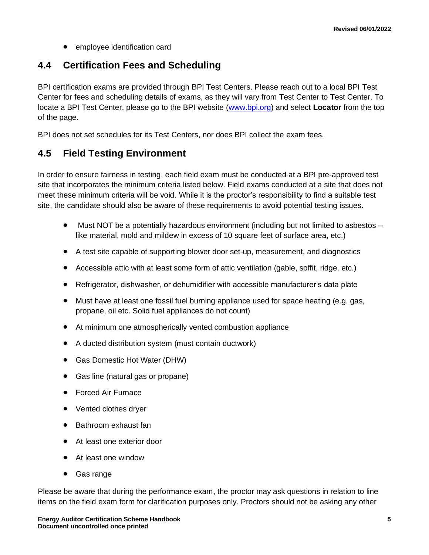• employee identification card

### **4.4 Certification Fees and Scheduling**

BPI certification exams are provided through BPI Test Centers. Please reach out to a local BPI Test Center for fees and scheduling details of exams, as they will vary from Test Center to Test Center. To locate a BPI Test Center, please go to the BPI website [\(www.bpi.org\)](http://www.bpi.org/) and select **Locator** from the top of the page.

BPI does not set schedules for its Test Centers, nor does BPI collect the exam fees.

### **4.5 Field Testing Environment**

In order to ensure fairness in testing, each field exam must be conducted at a BPI pre-approved test site that incorporates the minimum criteria listed below. Field exams conducted at a site that does not meet these minimum criteria will be void. While it is the proctor's responsibility to find a suitable test site, the candidate should also be aware of these requirements to avoid potential testing issues.

- Must NOT be a potentially hazardous environment (including but not limited to asbestos like material, mold and mildew in excess of 10 square feet of surface area, etc.)
- A test site capable of supporting blower door set-up, measurement, and diagnostics
- Accessible attic with at least some form of attic ventilation (gable, soffit, ridge, etc.)
- Refrigerator, dishwasher, or dehumidifier with accessible manufacturer's data plate
- Must have at least one fossil fuel burning appliance used for space heating (e.g. gas, propane, oil etc. Solid fuel appliances do not count)
- At minimum one atmospherically vented combustion appliance
- A ducted distribution system (must contain ductwork)
- Gas Domestic Hot Water (DHW)
- Gas line (natural gas or propane)
- Forced Air Furnace
- Vented clothes dryer
- Bathroom exhaust fan
- At least one exterior door
- At least one window
- Gas range

Please be aware that during the performance exam, the proctor may ask questions in relation to line items on the field exam form for clarification purposes only. Proctors should not be asking any other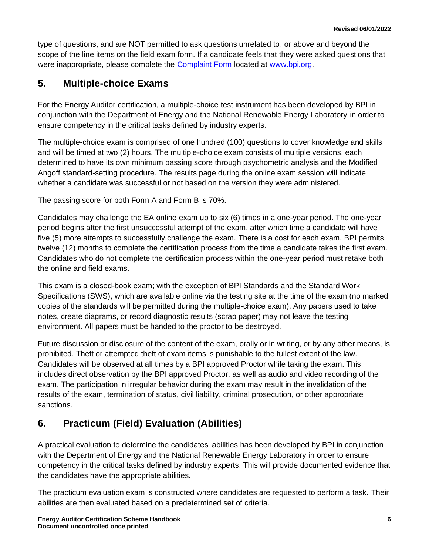type of questions, and are NOT permitted to ask questions unrelated to, or above and beyond the scope of the line items on the field exam form. If a candidate feels that they were asked questions that were inappropriate, please complete the **Complaint Form located at [www.bpi.org.](http://www.bpi.org/)** 

### <span id="page-8-0"></span>**5. Multiple-choice Exams**

For the Energy Auditor certification, a multiple-choice test instrument has been developed by BPI in conjunction with the Department of Energy and the National Renewable Energy Laboratory in order to ensure competency in the critical tasks defined by industry experts.

The multiple-choice exam is comprised of one hundred (100) questions to cover knowledge and skills and will be timed at two (2) hours. The multiple-choice exam consists of multiple versions, each determined to have its own minimum passing score through psychometric analysis and the Modified Angoff standard-setting procedure. The results page during the online exam session will indicate whether a candidate was successful or not based on the version they were administered.

The passing score for both Form A and Form B is 70%.

Candidates may challenge the EA online exam up to six (6) times in a one-year period. The one-year period begins after the first unsuccessful attempt of the exam, after which time a candidate will have five (5) more attempts to successfully challenge the exam. There is a cost for each exam. BPI permits twelve (12) months to complete the certification process from the time a candidate takes the first exam. Candidates who do not complete the certification process within the one-year period must retake both the online and field exams.

This exam is a closed-book exam; with the exception of BPI Standards and the Standard Work Specifications (SWS), which are available online via the testing site at the time of the exam (no marked copies of the standards will be permitted during the multiple-choice exam). Any papers used to take notes, create diagrams, or record diagnostic results (scrap paper) may not leave the testing environment. All papers must be handed to the proctor to be destroyed.

Future discussion or disclosure of the content of the exam, orally or in writing, or by any other means, is prohibited. Theft or attempted theft of exam items is punishable to the fullest extent of the law. Candidates will be observed at all times by a BPI approved Proctor while taking the exam. This includes direct observation by the BPI approved Proctor, as well as audio and video recording of the exam. The participation in irregular behavior during the exam may result in the invalidation of the results of the exam, termination of status, civil liability, criminal prosecution, or other appropriate sanctions.

# <span id="page-8-1"></span>**6. Practicum (Field) Evaluation (Abilities)**

A practical evaluation to determine the candidates' abilities has been developed by BPI in conjunction with the Department of Energy and the National Renewable Energy Laboratory in order to ensure competency in the critical tasks defined by industry experts. This will provide documented evidence that the candidates have the appropriate abilities.

The practicum evaluation exam is constructed where candidates are requested to perform a task. Their abilities are then evaluated based on a predetermined set of criteria.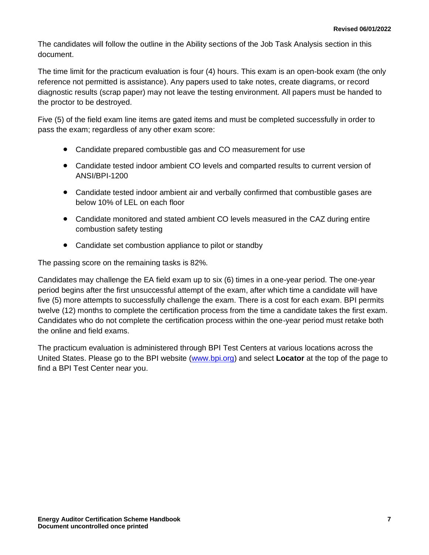The candidates will follow the outline in the Ability sections of the Job Task Analysis section in this document.

The time limit for the practicum evaluation is four (4) hours. This exam is an open-book exam (the only reference not permitted is assistance). Any papers used to take notes, create diagrams, or record diagnostic results (scrap paper) may not leave the testing environment. All papers must be handed to the proctor to be destroyed.

Five (5) of the field exam line items are gated items and must be completed successfully in order to pass the exam; regardless of any other exam score:

- Candidate prepared combustible gas and CO measurement for use
- Candidate tested indoor ambient CO levels and comparted results to current version of ANSI/BPI-1200
- Candidate tested indoor ambient air and verbally confirmed that combustible gases are below 10% of LEL on each floor
- Candidate monitored and stated ambient CO levels measured in the CAZ during entire combustion safety testing
- Candidate set combustion appliance to pilot or standby

The passing score on the remaining tasks is 82%.

Candidates may challenge the EA field exam up to six (6) times in a one-year period. The one-year period begins after the first unsuccessful attempt of the exam, after which time a candidate will have five (5) more attempts to successfully challenge the exam. There is a cost for each exam. BPI permits twelve (12) months to complete the certification process from the time a candidate takes the first exam. Candidates who do not complete the certification process within the one-year period must retake both the online and field exams.

The practicum evaluation is administered through BPI Test Centers at various locations across the United States. Please go to the BPI website [\(www.bpi.org\)](http://www.bpi.org/) and select **Locator** at the top of the page to find a BPI Test Center near you.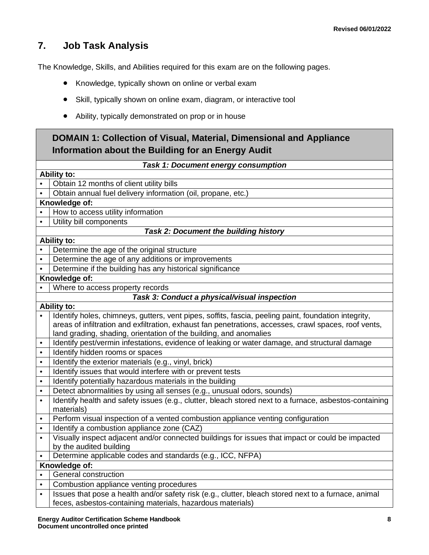### <span id="page-10-0"></span>**7. Job Task Analysis**

The Knowledge, Skills, and Abilities required for this exam are on the following pages.

- Knowledge, typically shown on online or verbal exam
- Skill, typically shown on online exam, diagram, or interactive tool
- Ability, typically demonstrated on prop or in house

### **DOMAIN 1: Collection of Visual, Material, Dimensional and Appliance Information about the Building for an Energy Audit**

#### *Task 1: Document energy consumption*

|                        | <b>Ability to:</b>                                                                                                                                                 |  |
|------------------------|--------------------------------------------------------------------------------------------------------------------------------------------------------------------|--|
|                        | Obtain 12 months of client utility bills                                                                                                                           |  |
| $\bullet$              | Obtain annual fuel delivery information (oil, propane, etc.)                                                                                                       |  |
|                        | Knowledge of:                                                                                                                                                      |  |
|                        | How to access utility information                                                                                                                                  |  |
| $\bullet$              | Utility bill components                                                                                                                                            |  |
|                        | Task 2: Document the building history                                                                                                                              |  |
|                        | <b>Ability to:</b>                                                                                                                                                 |  |
| $\bullet$              | Determine the age of the original structure                                                                                                                        |  |
| $\bullet$              | Determine the age of any additions or improvements                                                                                                                 |  |
|                        | Determine if the building has any historical significance                                                                                                          |  |
|                        | Knowledge of:                                                                                                                                                      |  |
|                        | Where to access property records                                                                                                                                   |  |
|                        | Task 3: Conduct a physical/visual inspection                                                                                                                       |  |
|                        | <b>Ability to:</b>                                                                                                                                                 |  |
|                        | Identify holes, chimneys, gutters, vent pipes, soffits, fascia, peeling paint, foundation integrity,                                                               |  |
|                        | areas of infiltration and exfiltration, exhaust fan penetrations, accesses, crawl spaces, roof vents,                                                              |  |
|                        | land grading, shading, orientation of the building, and anomalies                                                                                                  |  |
| $\bullet$              | Identify pest/vermin infestations, evidence of leaking or water damage, and structural damage                                                                      |  |
| $\bullet$              | Identify hidden rooms or spaces                                                                                                                                    |  |
| $\bullet$              | Identify the exterior materials (e.g., vinyl, brick)                                                                                                               |  |
| $\bullet$              | Identify issues that would interfere with or prevent tests                                                                                                         |  |
| $\bullet$              | Identify potentially hazardous materials in the building                                                                                                           |  |
| $\bullet$              | Detect abnormalities by using all senses (e.g., unusual odors, sounds)                                                                                             |  |
| $\bullet$              | Identify health and safety issues (e.g., clutter, bleach stored next to a furnace, asbestos-containing                                                             |  |
|                        | materials)                                                                                                                                                         |  |
| $\bullet$              | Perform visual inspection of a vented combustion appliance venting configuration                                                                                   |  |
| $\bullet$              | Identify a combustion appliance zone (CAZ)                                                                                                                         |  |
| $\bullet$              | Visually inspect adjacent and/or connected buildings for issues that impact or could be impacted                                                                   |  |
|                        | by the audited building                                                                                                                                            |  |
|                        | Determine applicable codes and standards (e.g., ICC, NFPA)                                                                                                         |  |
| $\bullet$              | Knowledge of:<br>General construction                                                                                                                              |  |
|                        |                                                                                                                                                                    |  |
| $\bullet$<br>$\bullet$ | Combustion appliance venting procedures                                                                                                                            |  |
|                        | Issues that pose a health and/or safety risk (e.g., clutter, bleach stored next to a furnace, animal<br>feces, asbestos-containing materials, hazardous materials) |  |
|                        |                                                                                                                                                                    |  |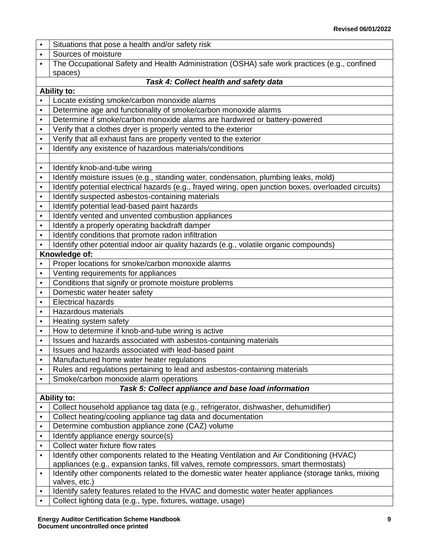|           | Situations that pose a health and/or safety risk                                                      |  |  |
|-----------|-------------------------------------------------------------------------------------------------------|--|--|
| $\bullet$ | Sources of moisture                                                                                   |  |  |
| $\bullet$ | The Occupational Safety and Health Administration (OSHA) safe work practices (e.g., confined          |  |  |
|           | spaces)                                                                                               |  |  |
|           | Task 4: Collect health and safety data                                                                |  |  |
|           | <b>Ability to:</b>                                                                                    |  |  |
|           | Locate existing smoke/carbon monoxide alarms                                                          |  |  |
| $\bullet$ | Determine age and functionality of smoke/carbon monoxide alarms                                       |  |  |
| $\bullet$ | Determine if smoke/carbon monoxide alarms are hardwired or battery-powered                            |  |  |
| $\bullet$ | Verify that a clothes dryer is properly vented to the exterior                                        |  |  |
| $\bullet$ | Verify that all exhaust fans are properly vented to the exterior                                      |  |  |
| $\bullet$ | Identify any existence of hazardous materials/conditions                                              |  |  |
|           |                                                                                                       |  |  |
| $\bullet$ | Identify knob-and-tube wiring                                                                         |  |  |
| $\bullet$ | Identify moisture issues (e.g., standing water, condensation, plumbing leaks, mold)                   |  |  |
| $\bullet$ | Identify potential electrical hazards (e.g., frayed wiring, open junction boxes, overloaded circuits) |  |  |
| $\bullet$ | Identify suspected asbestos-containing materials                                                      |  |  |
| $\bullet$ | Identify potential lead-based paint hazards                                                           |  |  |
| $\bullet$ | Identify vented and unvented combustion appliances                                                    |  |  |
| $\bullet$ | Identify a properly operating backdraft damper                                                        |  |  |
| $\bullet$ | Identify conditions that promote radon infiltration                                                   |  |  |
|           | Identify other potential indoor air quality hazards (e.g., volatile organic compounds)                |  |  |
|           | Knowledge of:                                                                                         |  |  |
| $\bullet$ | Proper locations for smoke/carbon monoxide alarms                                                     |  |  |
| $\bullet$ | Venting requirements for appliances                                                                   |  |  |
| $\bullet$ | Conditions that signify or promote moisture problems                                                  |  |  |
| $\bullet$ | Domestic water heater safety                                                                          |  |  |
| $\bullet$ | <b>Electrical hazards</b>                                                                             |  |  |
| $\bullet$ | Hazardous materials                                                                                   |  |  |
| $\bullet$ | Heating system safety                                                                                 |  |  |
| $\bullet$ | How to determine if knob-and-tube wiring is active                                                    |  |  |
| $\bullet$ | Issues and hazards associated with asbestos-containing materials                                      |  |  |
| $\bullet$ | Issues and hazards associated with lead-based paint                                                   |  |  |
| $\bullet$ | Manufactured home water heater regulations                                                            |  |  |
| $\bullet$ | Rules and regulations pertaining to lead and asbestos-containing materials                            |  |  |
| $\bullet$ | Smoke/carbon monoxide alarm operations<br>Task 5: Collect appliance and base load information         |  |  |
|           | Ability to:                                                                                           |  |  |
| $\bullet$ | Collect household appliance tag data (e.g., refrigerator, dishwasher, dehumidifier)                   |  |  |
| $\bullet$ | Collect heating/cooling appliance tag data and documentation                                          |  |  |
| $\bullet$ | Determine combustion appliance zone (CAZ) volume                                                      |  |  |
| $\bullet$ | Identify appliance energy source(s)                                                                   |  |  |
| $\bullet$ | Collect water fixture flow rates                                                                      |  |  |
| $\bullet$ | Identify other components related to the Heating Ventilation and Air Conditioning (HVAC)              |  |  |
|           | appliances (e.g., expansion tanks, fill valves, remote compressors, smart thermostats)                |  |  |
| $\bullet$ | Identify other components related to the domestic water heater appliance (storage tanks, mixing       |  |  |
|           | valves, etc.)                                                                                         |  |  |
| $\bullet$ | Identify safety features related to the HVAC and domestic water heater appliances                     |  |  |
|           | Collect lighting data (e.g., type, fixtures, wattage, usage)                                          |  |  |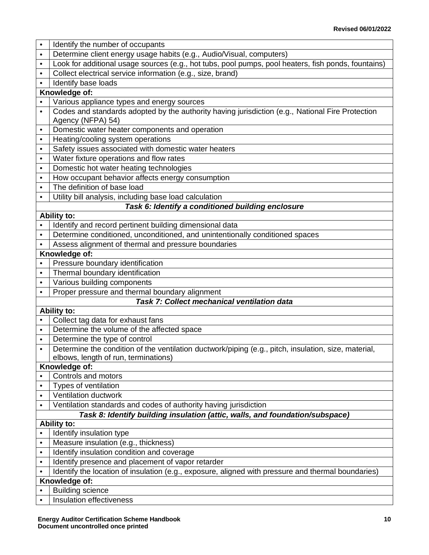| $\bullet$              | Identify the number of occupants                                                                                                             |  |
|------------------------|----------------------------------------------------------------------------------------------------------------------------------------------|--|
| $\bullet$              | Determine client energy usage habits (e.g., Audio/Visual, computers)                                                                         |  |
| $\bullet$              | Look for additional usage sources (e.g., hot tubs, pool pumps, pool heaters, fish ponds, fountains)                                          |  |
| $\bullet$              | Collect electrical service information (e.g., size, brand)                                                                                   |  |
|                        | Identify base loads                                                                                                                          |  |
|                        | Knowledge of:                                                                                                                                |  |
|                        | Various appliance types and energy sources                                                                                                   |  |
| $\bullet$              | Codes and standards adopted by the authority having jurisdiction (e.g., National Fire Protection                                             |  |
|                        | Agency (NFPA) 54)                                                                                                                            |  |
| ٠                      | Domestic water heater components and operation                                                                                               |  |
| $\bullet$              | Heating/cooling system operations                                                                                                            |  |
| $\bullet$              | Safety issues associated with domestic water heaters                                                                                         |  |
| $\bullet$              | Water fixture operations and flow rates                                                                                                      |  |
| $\bullet$              | Domestic hot water heating technologies                                                                                                      |  |
| $\bullet$              | How occupant behavior affects energy consumption                                                                                             |  |
| $\bullet$              | The definition of base load                                                                                                                  |  |
| $\bullet$              | Utility bill analysis, including base load calculation                                                                                       |  |
|                        | Task 6: Identify a conditioned building enclosure                                                                                            |  |
|                        | <b>Ability to:</b>                                                                                                                           |  |
|                        | Identify and record pertinent building dimensional data                                                                                      |  |
| $\bullet$              | Determine conditioned, unconditioned, and unintentionally conditioned spaces                                                                 |  |
|                        | Assess alignment of thermal and pressure boundaries                                                                                          |  |
|                        | Knowledge of:                                                                                                                                |  |
| $\bullet$              | Pressure boundary identification                                                                                                             |  |
| $\bullet$              | Thermal boundary identification                                                                                                              |  |
| $\bullet$              | Various building components                                                                                                                  |  |
| $\bullet$              | Proper pressure and thermal boundary alignment                                                                                               |  |
|                        | Task 7: Collect mechanical ventilation data                                                                                                  |  |
|                        | <b>Ability to:</b>                                                                                                                           |  |
|                        | Collect tag data for exhaust fans<br>Determine the volume of the affected space                                                              |  |
| $\bullet$<br>$\bullet$ | Determine the type of control                                                                                                                |  |
| $\bullet$              |                                                                                                                                              |  |
|                        | Determine the condition of the ventilation ductwork/piping (e.g., pitch, insulation, size, material,<br>elbows, length of run, terminations) |  |
|                        | Knowledge of:                                                                                                                                |  |
| $\bullet$              | Controls and motors                                                                                                                          |  |
| $\bullet$              | Types of ventilation                                                                                                                         |  |
| $\bullet$              | <b>Ventilation ductwork</b>                                                                                                                  |  |
| $\bullet$              | Ventilation standards and codes of authority having jurisdiction                                                                             |  |
|                        | Task 8: Identify building insulation (attic, walls, and foundation/subspace)                                                                 |  |
|                        | <b>Ability to:</b>                                                                                                                           |  |
|                        | Identify insulation type                                                                                                                     |  |
| $\bullet$              | Measure insulation (e.g., thickness)                                                                                                         |  |
| $\bullet$              | Identify insulation condition and coverage                                                                                                   |  |
| $\bullet$              | Identify presence and placement of vapor retarder                                                                                            |  |
| ٠                      | Identify the location of insulation (e.g., exposure, aligned with pressure and thermal boundaries)                                           |  |
|                        | Knowledge of:                                                                                                                                |  |
| $\bullet$              | <b>Building science</b>                                                                                                                      |  |
| ٠                      | Insulation effectiveness                                                                                                                     |  |
|                        |                                                                                                                                              |  |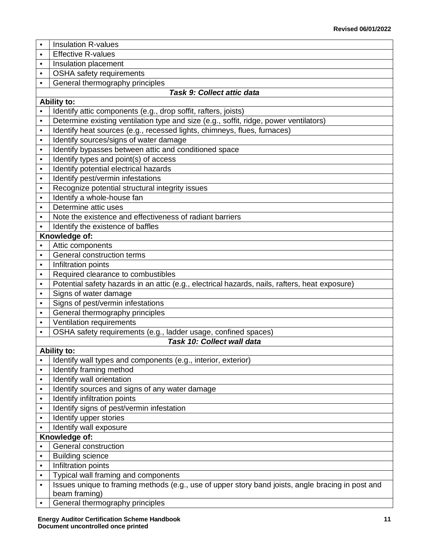- Insulation R-values
- $\cdot$  Effective R-values
- Insulation placement
- OSHA safety requirements
- General thermography principles

#### *Task 9: Collect attic data*

#### **Ability to:**

Identify attic components (e.g., drop soffit, rafters, joists) • Determine existing ventilation type and size (e.g., soffit, ridge, power ventilators) • I Identify heat sources (e.g., recessed lights, chimneys, flues, furnaces) • I Identify sources/signs of water damage • I Identify bypasses between attic and conditioned space Identify types and point(s) of access • I Identify potential electrical hazards • I Identify pest/vermin infestations • Recognize potential structural integrity issues • I Identify a whole-house fan • Determine attic uses • Note the existence and effectiveness of radiant barriers • I Identify the existence of baffles **Knowledge of:** • Attic components • General construction terms • Infiltration points • Required clearance to combustibles • Potential safety hazards in an attic (e.g., electrical hazards, nails, rafters, heat exposure) • Signs of water damage • Signs of pest/vermin infestations • General thermography principles • Ventilation requirements • **OSHA** safety requirements (e.g., ladder usage, confined spaces) *Task 10: Collect wall data* **Ability to:** Identify wall types and components (e.g., interior, exterior) • I Identify framing method • I Identify wall orientation • I Identify sources and signs of any water damage • Identify infiltration points • I Identify signs of pest/vermin infestation **Identify upper stories** • | Identify wall exposure **Knowledge of:** • General construction • Building science • Infiltration points • Typical wall framing and components • Issues unique to framing methods (e.g., use of upper story band joists, angle bracing in post and beam framing) General thermography principles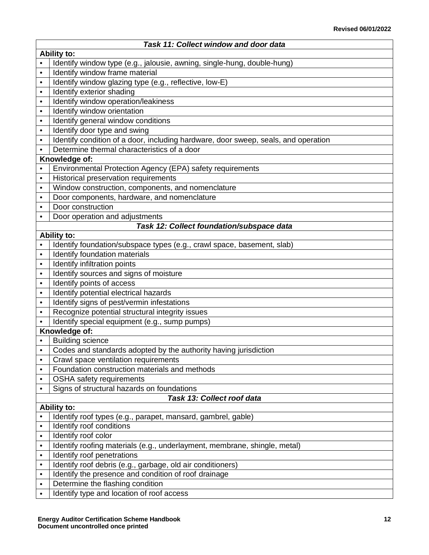| Task 11: Collect window and door data |                                                                                    |  |  |
|---------------------------------------|------------------------------------------------------------------------------------|--|--|
|                                       | <b>Ability to:</b>                                                                 |  |  |
| $\bullet$                             | Identify window type (e.g., jalousie, awning, single-hung, double-hung)            |  |  |
| $\bullet$                             | Identify window frame material                                                     |  |  |
| $\bullet$                             | Identify window glazing type (e.g., reflective, low-E)                             |  |  |
| $\bullet$                             | Identify exterior shading                                                          |  |  |
| $\bullet$                             | Identify window operation/leakiness                                                |  |  |
| $\bullet$                             | Identify window orientation                                                        |  |  |
| $\bullet$                             | Identify general window conditions                                                 |  |  |
| $\bullet$                             | Identify door type and swing                                                       |  |  |
| $\bullet$                             | Identify condition of a door, including hardware, door sweep, seals, and operation |  |  |
|                                       | Determine thermal characteristics of a door                                        |  |  |
|                                       | Knowledge of:                                                                      |  |  |
| $\bullet$                             | Environmental Protection Agency (EPA) safety requirements                          |  |  |
| $\bullet$                             | <b>Historical preservation requirements</b>                                        |  |  |
| $\bullet$                             | Window construction, components, and nomenclature                                  |  |  |
| $\bullet$                             | Door components, hardware, and nomenclature                                        |  |  |
| $\bullet$                             | Door construction                                                                  |  |  |
| $\bullet$                             | Door operation and adjustments                                                     |  |  |
|                                       | Task 12: Collect foundation/subspace data                                          |  |  |
|                                       | <b>Ability to:</b>                                                                 |  |  |
| $\bullet$                             | Identify foundation/subspace types (e.g., crawl space, basement, slab)             |  |  |
| $\bullet$                             | Identify foundation materials                                                      |  |  |
| $\bullet$                             | Identify infiltration points                                                       |  |  |
| $\bullet$                             | Identify sources and signs of moisture                                             |  |  |
| $\bullet$                             | Identify points of access                                                          |  |  |
| $\bullet$                             | Identify potential electrical hazards                                              |  |  |
| $\bullet$                             | Identify signs of pest/vermin infestations                                         |  |  |
| $\bullet$                             | Recognize potential structural integrity issues                                    |  |  |
|                                       | Identify special equipment (e.g., sump pumps)<br>Knowledge of:                     |  |  |
|                                       | <b>Building science</b>                                                            |  |  |
| $\bullet$                             | Codes and standards adopted by the authority having jurisdiction                   |  |  |
| $\bullet$                             | Crawl space ventilation requirements                                               |  |  |
| $\bullet$                             | Foundation construction materials and methods                                      |  |  |
| $\bullet$                             | OSHA safety requirements                                                           |  |  |
| $\bullet$                             | Signs of structural hazards on foundations                                         |  |  |
|                                       | Task 13: Collect roof data                                                         |  |  |
|                                       | <b>Ability to:</b>                                                                 |  |  |
| $\bullet$                             | Identify roof types (e.g., parapet, mansard, gambrel, gable)                       |  |  |
| $\bullet$                             | Identify roof conditions                                                           |  |  |
| $\bullet$                             | Identify roof color                                                                |  |  |
| $\bullet$                             | Identify roofing materials (e.g., underlayment, membrane, shingle, metal)          |  |  |
| $\bullet$                             | Identify roof penetrations                                                         |  |  |
| $\bullet$                             | Identify roof debris (e.g., garbage, old air conditioners)                         |  |  |
| $\bullet$                             | Identify the presence and condition of roof drainage                               |  |  |
| $\bullet$                             | Determine the flashing condition                                                   |  |  |
| $\bullet$                             | Identify type and location of roof access                                          |  |  |
|                                       |                                                                                    |  |  |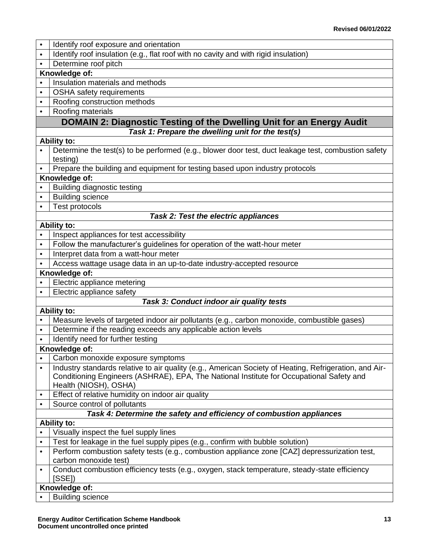| $\bullet$ | Identify roof exposure and orientation                                                                            |
|-----------|-------------------------------------------------------------------------------------------------------------------|
| $\bullet$ | Identify roof insulation (e.g., flat roof with no cavity and with rigid insulation)                               |
|           | Determine roof pitch                                                                                              |
|           | Knowledge of:                                                                                                     |
| $\bullet$ | Insulation materials and methods                                                                                  |
| $\bullet$ | OSHA safety requirements                                                                                          |
| $\bullet$ | Roofing construction methods                                                                                      |
| $\bullet$ | Roofing materials                                                                                                 |
|           | DOMAIN 2: Diagnostic Testing of the Dwelling Unit for an Energy Audit                                             |
|           | Task 1: Prepare the dwelling unit for the test(s)                                                                 |
|           | <b>Ability to:</b>                                                                                                |
|           | Determine the test(s) to be performed (e.g., blower door test, duct leakage test, combustion safety               |
|           | testing)                                                                                                          |
|           | Prepare the building and equipment for testing based upon industry protocols                                      |
|           | Knowledge of:                                                                                                     |
|           | <b>Building diagnostic testing</b>                                                                                |
| $\bullet$ | <b>Building science</b>                                                                                           |
| $\bullet$ | Test protocols                                                                                                    |
|           | <b>Task 2: Test the electric appliances</b>                                                                       |
|           | <b>Ability to:</b>                                                                                                |
| $\bullet$ | Inspect appliances for test accessibility                                                                         |
| $\bullet$ | Follow the manufacturer's guidelines for operation of the watt-hour meter                                         |
| $\bullet$ | Interpret data from a watt-hour meter                                                                             |
|           | Access wattage usage data in an up-to-date industry-accepted resource                                             |
|           | Knowledge of:                                                                                                     |
|           | Electric appliance metering                                                                                       |
| $\bullet$ | Electric appliance safety                                                                                         |
|           | Task 3: Conduct indoor air quality tests                                                                          |
|           | <b>Ability to:</b>                                                                                                |
|           | Measure levels of targeted indoor air pollutants (e.g., carbon monoxide, combustible gases)                       |
| $\bullet$ | Determine if the reading exceeds any applicable action levels                                                     |
|           | Identify need for further testing                                                                                 |
|           | Knowledge of:                                                                                                     |
|           | Carbon monoxide exposure symptoms                                                                                 |
| $\bullet$ | Industry standards relative to air quality (e.g., American Society of Heating, Refrigeration, and Air-            |
|           | Conditioning Engineers (ASHRAE), EPA, The National Institute for Occupational Safety and<br>Health (NIOSH), OSHA) |
| $\bullet$ | Effect of relative humidity on indoor air quality                                                                 |
| $\bullet$ | Source control of pollutants                                                                                      |
|           | Task 4: Determine the safety and efficiency of combustion appliances                                              |
|           | <b>Ability to:</b>                                                                                                |
| $\bullet$ | Visually inspect the fuel supply lines                                                                            |
| $\bullet$ | Test for leakage in the fuel supply pipes (e.g., confirm with bubble solution)                                    |
| $\bullet$ | Perform combustion safety tests (e.g., combustion appliance zone [CAZ] depressurization test,                     |
|           | carbon monoxide test)                                                                                             |
| $\bullet$ | Conduct combustion efficiency tests (e.g., oxygen, stack temperature, steady-state efficiency<br>[SSE]            |
|           | Knowledge of:                                                                                                     |
|           | <b>Building science</b>                                                                                           |
|           |                                                                                                                   |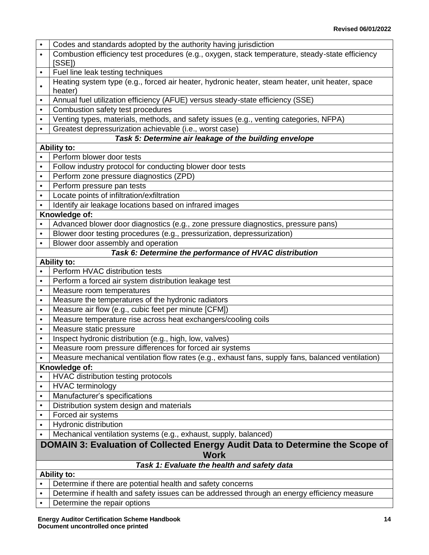|                                                                               | Codes and standards adopted by the authority having jurisdiction                                  |  |  |
|-------------------------------------------------------------------------------|---------------------------------------------------------------------------------------------------|--|--|
|                                                                               | Combustion efficiency test procedures (e.g., oxygen, stack temperature, steady-state efficiency   |  |  |
|                                                                               | [SSE]                                                                                             |  |  |
| $\bullet$                                                                     | Fuel line leak testing techniques                                                                 |  |  |
|                                                                               | Heating system type (e.g., forced air heater, hydronic heater, steam heater, unit heater, space   |  |  |
|                                                                               | heater)                                                                                           |  |  |
| $\bullet$                                                                     | Annual fuel utilization efficiency (AFUE) versus steady-state efficiency (SSE)                    |  |  |
| $\bullet$                                                                     | Combustion safety test procedures                                                                 |  |  |
| $\bullet$                                                                     | Venting types, materials, methods, and safety issues (e.g., venting categories, NFPA)             |  |  |
| $\bullet$                                                                     | Greatest depressurization achievable (i.e., worst case)                                           |  |  |
|                                                                               | Task 5: Determine air leakage of the building envelope                                            |  |  |
|                                                                               | <b>Ability to:</b>                                                                                |  |  |
|                                                                               | Perform blower door tests                                                                         |  |  |
| $\bullet$                                                                     | Follow industry protocol for conducting blower door tests                                         |  |  |
|                                                                               | Perform zone pressure diagnostics (ZPD)                                                           |  |  |
| $\bullet$                                                                     | Perform pressure pan tests                                                                        |  |  |
| $\bullet$                                                                     | Locate points of infiltration/exfiltration                                                        |  |  |
|                                                                               | Identify air leakage locations based on infrared images                                           |  |  |
|                                                                               | Knowledge of:                                                                                     |  |  |
|                                                                               | Advanced blower door diagnostics (e.g., zone pressure diagnostics, pressure pans)                 |  |  |
| $\bullet$                                                                     | Blower door testing procedures (e.g., pressurization, depressurization)                           |  |  |
| $\bullet$                                                                     | Blower door assembly and operation                                                                |  |  |
|                                                                               | Task 6: Determine the performance of HVAC distribution                                            |  |  |
|                                                                               | <b>Ability to:</b>                                                                                |  |  |
| $\bullet$                                                                     | Perform HVAC distribution tests                                                                   |  |  |
| $\bullet$                                                                     | Perform a forced air system distribution leakage test                                             |  |  |
| $\bullet$                                                                     | Measure room temperatures                                                                         |  |  |
| $\bullet$                                                                     | Measure the temperatures of the hydronic radiators                                                |  |  |
| $\bullet$                                                                     | Measure air flow (e.g., cubic feet per minute [CFM])                                              |  |  |
| $\bullet$                                                                     | Measure temperature rise across heat exchangers/cooling coils                                     |  |  |
| $\bullet$                                                                     | Measure static pressure                                                                           |  |  |
| $\bullet$                                                                     | Inspect hydronic distribution (e.g., high, low, valves)                                           |  |  |
| $\bullet$                                                                     | Measure room pressure differences for forced air systems                                          |  |  |
|                                                                               | Measure mechanical ventilation flow rates (e.g., exhaust fans, supply fans, balanced ventilation) |  |  |
|                                                                               | Knowledge of:                                                                                     |  |  |
|                                                                               | HVAC distribution testing protocols                                                               |  |  |
| $\bullet$                                                                     | <b>HVAC</b> terminology                                                                           |  |  |
| $\bullet$                                                                     | Manufacturer's specifications                                                                     |  |  |
| $\bullet$                                                                     | Distribution system design and materials                                                          |  |  |
| $\bullet$                                                                     | Forced air systems                                                                                |  |  |
| $\bullet$<br>$\bullet$                                                        | Hydronic distribution                                                                             |  |  |
|                                                                               | Mechanical ventilation systems (e.g., exhaust, supply, balanced)                                  |  |  |
| DOMAIN 3: Evaluation of Collected Energy Audit Data to Determine the Scope of |                                                                                                   |  |  |
|                                                                               | <b>Work</b>                                                                                       |  |  |
| Task 1: Evaluate the health and safety data<br><b>Ability to:</b>             |                                                                                                   |  |  |
|                                                                               | Determine if there are potential health and safety concerns                                       |  |  |
| $\bullet$                                                                     | Determine if health and safety issues can be addressed through an energy efficiency measure       |  |  |
| $\bullet$                                                                     | Determine the repair options                                                                      |  |  |
|                                                                               |                                                                                                   |  |  |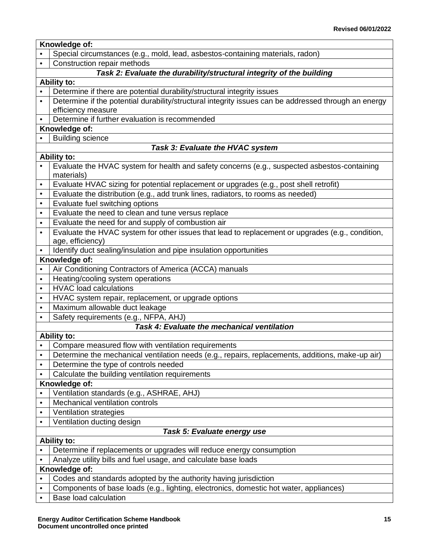|           | Knowledge of:                                                                                              |  |  |
|-----------|------------------------------------------------------------------------------------------------------------|--|--|
|           | Special circumstances (e.g., mold, lead, asbestos-containing materials, radon)                             |  |  |
| $\bullet$ | Construction repair methods                                                                                |  |  |
|           | Task 2: Evaluate the durability/structural integrity of the building                                       |  |  |
|           | <b>Ability to:</b>                                                                                         |  |  |
|           | Determine if there are potential durability/structural integrity issues                                    |  |  |
| $\bullet$ | Determine if the potential durability/structural integrity issues can be addressed through an energy       |  |  |
|           | efficiency measure                                                                                         |  |  |
|           | Determine if further evaluation is recommended                                                             |  |  |
|           | Knowledge of:                                                                                              |  |  |
|           | <b>Building science</b>                                                                                    |  |  |
|           | Task 3: Evaluate the HVAC system                                                                           |  |  |
|           | <b>Ability to:</b>                                                                                         |  |  |
|           | Evaluate the HVAC system for health and safety concerns (e.g., suspected asbestos-containing<br>materials) |  |  |
| $\bullet$ | Evaluate HVAC sizing for potential replacement or upgrades (e.g., post shell retrofit)                     |  |  |
| $\bullet$ | Evaluate the distribution (e.g., add trunk lines, radiators, to rooms as needed)                           |  |  |
| $\bullet$ | Evaluate fuel switching options                                                                            |  |  |
| $\bullet$ | Evaluate the need to clean and tune versus replace                                                         |  |  |
| $\bullet$ | Evaluate the need for and supply of combustion air                                                         |  |  |
| $\bullet$ | Evaluate the HVAC system for other issues that lead to replacement or upgrades (e.g., condition,           |  |  |
|           | age, efficiency)                                                                                           |  |  |
| $\bullet$ | Identify duct sealing/insulation and pipe insulation opportunities                                         |  |  |
|           | Knowledge of:                                                                                              |  |  |
| $\bullet$ | Air Conditioning Contractors of America (ACCA) manuals                                                     |  |  |
| $\bullet$ | Heating/cooling system operations                                                                          |  |  |
| $\bullet$ | <b>HVAC</b> load calculations                                                                              |  |  |
| $\bullet$ | HVAC system repair, replacement, or upgrade options                                                        |  |  |
| $\bullet$ | Maximum allowable duct leakage                                                                             |  |  |
| $\bullet$ | Safety requirements (e.g., NFPA, AHJ)                                                                      |  |  |
|           | <b>Task 4: Evaluate the mechanical ventilation</b>                                                         |  |  |
|           | <b>Ability to:</b>                                                                                         |  |  |
|           | Compare measured flow with ventilation requirements                                                        |  |  |
| $\bullet$ | Determine the mechanical ventilation needs (e.g., repairs, replacements, additions, make-up air)           |  |  |
| $\bullet$ | Determine the type of controls needed                                                                      |  |  |
| $\bullet$ | Calculate the building ventilation requirements                                                            |  |  |
|           | Knowledge of:                                                                                              |  |  |
| $\bullet$ | Ventilation standards (e.g., ASHRAE, AHJ)                                                                  |  |  |
| $\bullet$ | Mechanical ventilation controls                                                                            |  |  |
| $\bullet$ | Ventilation strategies                                                                                     |  |  |
| $\bullet$ | Ventilation ducting design                                                                                 |  |  |
|           | Task 5: Evaluate energy use                                                                                |  |  |
|           | <b>Ability to:</b>                                                                                         |  |  |
|           | Determine if replacements or upgrades will reduce energy consumption                                       |  |  |
|           | Analyze utility bills and fuel usage, and calculate base loads                                             |  |  |
|           | Knowledge of:                                                                                              |  |  |
|           | Codes and standards adopted by the authority having jurisdiction                                           |  |  |
| $\bullet$ | Components of base loads (e.g., lighting, electronics, domestic hot water, appliances)                     |  |  |
| $\bullet$ | <b>Base load calculation</b>                                                                               |  |  |
|           |                                                                                                            |  |  |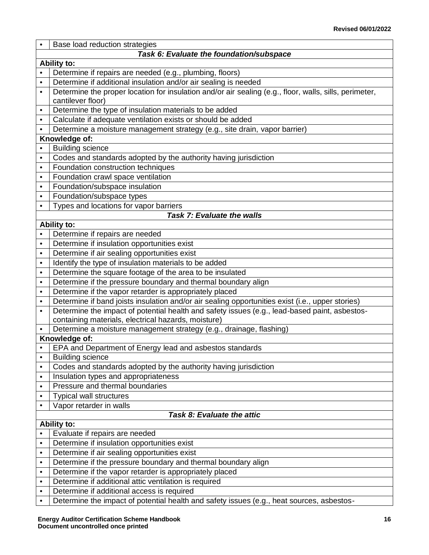|           | Base load reduction strategies                                                                                                                                                                    |  |  |
|-----------|---------------------------------------------------------------------------------------------------------------------------------------------------------------------------------------------------|--|--|
|           | Task 6: Evaluate the foundation/subspace                                                                                                                                                          |  |  |
|           | <b>Ability to:</b>                                                                                                                                                                                |  |  |
|           | Determine if repairs are needed (e.g., plumbing, floors)                                                                                                                                          |  |  |
| $\bullet$ | Determine if additional insulation and/or air sealing is needed                                                                                                                                   |  |  |
| $\bullet$ | Determine the proper location for insulation and/or air sealing (e.g., floor, walls, sills, perimeter,                                                                                            |  |  |
|           | cantilever floor)                                                                                                                                                                                 |  |  |
| $\bullet$ | Determine the type of insulation materials to be added                                                                                                                                            |  |  |
| $\bullet$ | Calculate if adequate ventilation exists or should be added                                                                                                                                       |  |  |
| $\bullet$ | Determine a moisture management strategy (e.g., site drain, vapor barrier)                                                                                                                        |  |  |
|           | Knowledge of:                                                                                                                                                                                     |  |  |
|           | <b>Building science</b>                                                                                                                                                                           |  |  |
| $\bullet$ | Codes and standards adopted by the authority having jurisdiction                                                                                                                                  |  |  |
| $\bullet$ | Foundation construction techniques                                                                                                                                                                |  |  |
| $\bullet$ | Foundation crawl space ventilation                                                                                                                                                                |  |  |
| $\bullet$ | Foundation/subspace insulation                                                                                                                                                                    |  |  |
| $\bullet$ | Foundation/subspace types                                                                                                                                                                         |  |  |
| $\bullet$ | Types and locations for vapor barriers                                                                                                                                                            |  |  |
|           | Task 7: Evaluate the walls                                                                                                                                                                        |  |  |
|           | <b>Ability to:</b>                                                                                                                                                                                |  |  |
| $\bullet$ | Determine if repairs are needed                                                                                                                                                                   |  |  |
| $\bullet$ | Determine if insulation opportunities exist                                                                                                                                                       |  |  |
| $\bullet$ | Determine if air sealing opportunities exist                                                                                                                                                      |  |  |
| $\bullet$ | Identify the type of insulation materials to be added                                                                                                                                             |  |  |
| $\bullet$ | Determine the square footage of the area to be insulated                                                                                                                                          |  |  |
| $\bullet$ | Determine if the pressure boundary and thermal boundary align                                                                                                                                     |  |  |
| $\bullet$ | Determine if the vapor retarder is appropriately placed                                                                                                                                           |  |  |
| $\bullet$ | Determine if band joists insulation and/or air sealing opportunities exist (i.e., upper stories)<br>Determine the impact of potential health and safety issues (e.g., lead-based paint, asbestos- |  |  |
| $\bullet$ | containing materials, electrical hazards, moisture)                                                                                                                                               |  |  |
|           | Determine a moisture management strategy (e.g., drainage, flashing)                                                                                                                               |  |  |
|           | Knowledge of:                                                                                                                                                                                     |  |  |
|           | EPA and Department of Energy lead and asbestos standards                                                                                                                                          |  |  |
| $\bullet$ | <b>Building science</b>                                                                                                                                                                           |  |  |
| $\bullet$ | Codes and standards adopted by the authority having jurisdiction                                                                                                                                  |  |  |
| $\bullet$ | Insulation types and appropriateness                                                                                                                                                              |  |  |
| $\bullet$ | Pressure and thermal boundaries                                                                                                                                                                   |  |  |
| ٠         | <b>Typical wall structures</b>                                                                                                                                                                    |  |  |
| $\bullet$ | Vapor retarder in walls                                                                                                                                                                           |  |  |
|           | Task 8: Evaluate the attic                                                                                                                                                                        |  |  |
|           | <b>Ability to:</b>                                                                                                                                                                                |  |  |
|           | Evaluate if repairs are needed                                                                                                                                                                    |  |  |
| $\bullet$ | Determine if insulation opportunities exist                                                                                                                                                       |  |  |
| $\bullet$ | Determine if air sealing opportunities exist                                                                                                                                                      |  |  |
| $\bullet$ | Determine if the pressure boundary and thermal boundary align                                                                                                                                     |  |  |
| $\bullet$ | Determine if the vapor retarder is appropriately placed                                                                                                                                           |  |  |
| $\bullet$ | Determine if additional attic ventilation is required                                                                                                                                             |  |  |
| $\bullet$ | Determine if additional access is required                                                                                                                                                        |  |  |
| $\bullet$ | Determine the impact of potential health and safety issues (e.g., heat sources, asbestos-                                                                                                         |  |  |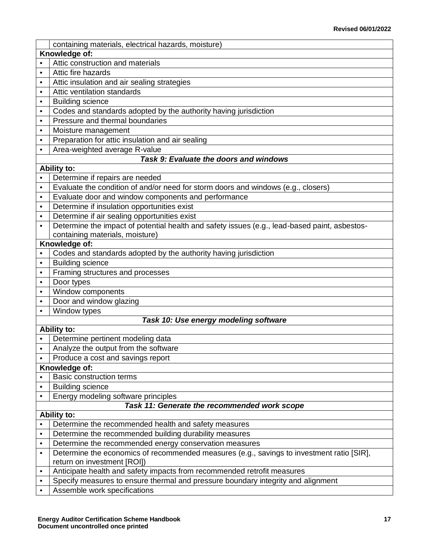|           | containing materials, electrical hazards, moisture)                                           |  |  |
|-----------|-----------------------------------------------------------------------------------------------|--|--|
|           | Knowledge of:                                                                                 |  |  |
|           | Attic construction and materials                                                              |  |  |
| $\bullet$ | Attic fire hazards                                                                            |  |  |
| $\bullet$ | Attic insulation and air sealing strategies                                                   |  |  |
| $\bullet$ | Attic ventilation standards                                                                   |  |  |
| $\bullet$ | <b>Building science</b>                                                                       |  |  |
| $\bullet$ | Codes and standards adopted by the authority having jurisdiction                              |  |  |
| $\bullet$ | Pressure and thermal boundaries                                                               |  |  |
| $\bullet$ | Moisture management                                                                           |  |  |
| $\bullet$ | Preparation for attic insulation and air sealing                                              |  |  |
| $\bullet$ | Area-weighted average R-value                                                                 |  |  |
|           | Task 9: Evaluate the doors and windows                                                        |  |  |
|           | Ability to:                                                                                   |  |  |
|           | Determine if repairs are needed                                                               |  |  |
| $\bullet$ | Evaluate the condition of and/or need for storm doors and windows (e.g., closers)             |  |  |
| $\bullet$ | Evaluate door and window components and performance                                           |  |  |
| $\bullet$ | Determine if insulation opportunities exist                                                   |  |  |
| $\bullet$ | Determine if air sealing opportunities exist                                                  |  |  |
| $\bullet$ | Determine the impact of potential health and safety issues (e.g., lead-based paint, asbestos- |  |  |
|           | containing materials, moisture)                                                               |  |  |
|           | Knowledge of:                                                                                 |  |  |
|           | Codes and standards adopted by the authority having jurisdiction                              |  |  |
| $\bullet$ | <b>Building science</b>                                                                       |  |  |
| $\bullet$ | Framing structures and processes                                                              |  |  |
| $\bullet$ | Door types                                                                                    |  |  |
| $\bullet$ | Window components                                                                             |  |  |
| $\bullet$ | Door and window glazing                                                                       |  |  |
|           | Window types                                                                                  |  |  |
|           | Task 10: Use energy modeling software                                                         |  |  |
|           | <b>Ability to:</b>                                                                            |  |  |
| $\bullet$ | Determine pertinent modeling data                                                             |  |  |
| $\bullet$ | Analyze the output from the software                                                          |  |  |
|           | Produce a cost and savings report                                                             |  |  |
|           | Knowledge of:                                                                                 |  |  |
| $\bullet$ | <b>Basic construction terms</b>                                                               |  |  |
| $\bullet$ | <b>Building science</b>                                                                       |  |  |
| $\bullet$ | Energy modeling software principles                                                           |  |  |
|           | Task 11: Generate the recommended work scope                                                  |  |  |
|           | <b>Ability to:</b>                                                                            |  |  |
| $\bullet$ | Determine the recommended health and safety measures                                          |  |  |
| $\bullet$ | Determine the recommended building durability measures                                        |  |  |
| $\bullet$ | Determine the recommended energy conservation measures                                        |  |  |
| $\bullet$ | Determine the economics of recommended measures (e.g., savings to investment ratio [SIR],     |  |  |
|           | return on investment [ROI])                                                                   |  |  |
| $\bullet$ | Anticipate health and safety impacts from recommended retrofit measures                       |  |  |
| $\bullet$ | Specify measures to ensure thermal and pressure boundary integrity and alignment              |  |  |
| $\bullet$ | Assemble work specifications                                                                  |  |  |
|           |                                                                                               |  |  |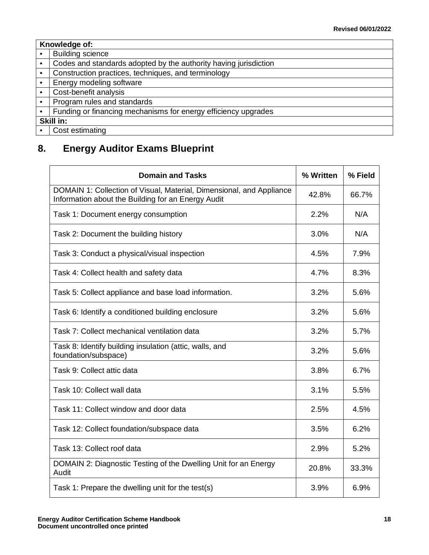|           | Knowledge of:                                                    |  |  |
|-----------|------------------------------------------------------------------|--|--|
| $\bullet$ | <b>Building science</b>                                          |  |  |
| $\bullet$ | Codes and standards adopted by the authority having jurisdiction |  |  |
| $\bullet$ | Construction practices, techniques, and terminology              |  |  |
| $\bullet$ | Energy modeling software                                         |  |  |
| $\bullet$ | Cost-benefit analysis                                            |  |  |
| $\bullet$ | Program rules and standards                                      |  |  |
| $\bullet$ | Funding or financing mechanisms for energy efficiency upgrades   |  |  |
|           | Skill in:                                                        |  |  |
| $\bullet$ | Cost estimating                                                  |  |  |

# <span id="page-20-0"></span>**8. Energy Auditor Exams Blueprint**

| <b>Domain and Tasks</b>                                                                                                    | % Written | % Field |
|----------------------------------------------------------------------------------------------------------------------------|-----------|---------|
| DOMAIN 1: Collection of Visual, Material, Dimensional, and Appliance<br>Information about the Building for an Energy Audit | 42.8%     | 66.7%   |
| Task 1: Document energy consumption                                                                                        | 2.2%      | N/A     |
| Task 2: Document the building history                                                                                      | 3.0%      | N/A     |
| Task 3: Conduct a physical/visual inspection                                                                               | 4.5%      | 7.9%    |
| Task 4: Collect health and safety data                                                                                     | 4.7%      | 8.3%    |
| Task 5: Collect appliance and base load information.                                                                       | 3.2%      | 5.6%    |
| Task 6: Identify a conditioned building enclosure                                                                          | 3.2%      | 5.6%    |
| Task 7: Collect mechanical ventilation data                                                                                | 3.2%      | 5.7%    |
| Task 8: Identify building insulation (attic, walls, and<br>foundation/subspace)                                            | 3.2%      | 5.6%    |
| Task 9: Collect attic data                                                                                                 | 3.8%      | 6.7%    |
| Task 10: Collect wall data                                                                                                 | 3.1%      | 5.5%    |
| Task 11: Collect window and door data                                                                                      | 2.5%      | 4.5%    |
| Task 12: Collect foundation/subspace data                                                                                  | 3.5%      | 6.2%    |
| Task 13: Collect roof data                                                                                                 | 2.9%      | 5.2%    |
| DOMAIN 2: Diagnostic Testing of the Dwelling Unit for an Energy<br>Audit                                                   | 20.8%     | 33.3%   |
| Task 1: Prepare the dwelling unit for the test(s)                                                                          | 3.9%      | 6.9%    |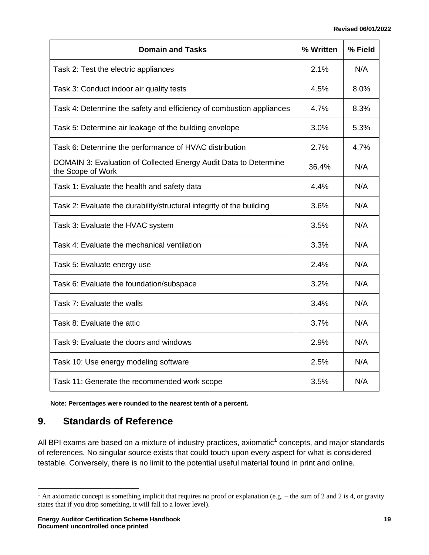| <b>Domain and Tasks</b>                                                               | % Written | % Field |
|---------------------------------------------------------------------------------------|-----------|---------|
| Task 2: Test the electric appliances                                                  | 2.1%      | N/A     |
| Task 3: Conduct indoor air quality tests                                              | 4.5%      | 8.0%    |
| Task 4: Determine the safety and efficiency of combustion appliances                  | 4.7%      | 8.3%    |
| Task 5: Determine air leakage of the building envelope                                | 3.0%      | 5.3%    |
| Task 6: Determine the performance of HVAC distribution                                | 2.7%      | 4.7%    |
| DOMAIN 3: Evaluation of Collected Energy Audit Data to Determine<br>the Scope of Work | 36.4%     | N/A     |
| Task 1: Evaluate the health and safety data                                           | 4.4%      | N/A     |
| Task 2: Evaluate the durability/structural integrity of the building                  | 3.6%      | N/A     |
| Task 3: Evaluate the HVAC system                                                      | 3.5%      | N/A     |
| Task 4: Evaluate the mechanical ventilation                                           | 3.3%      | N/A     |
| Task 5: Evaluate energy use                                                           | 2.4%      | N/A     |
| Task 6: Evaluate the foundation/subspace                                              | 3.2%      | N/A     |
| Task 7: Evaluate the walls                                                            | 3.4%      | N/A     |
| Task 8: Evaluate the attic                                                            | 3.7%      | N/A     |
| Task 9: Evaluate the doors and windows                                                | 2.9%      | N/A     |
| Task 10: Use energy modeling software                                                 | 2.5%      | N/A     |
| Task 11: Generate the recommended work scope                                          | 3.5%      | N/A     |

**Note: Percentages were rounded to the nearest tenth of a percent.**

### <span id="page-21-0"></span>**9. Standards of Reference**

All BPI exams are based on a mixture of industry practices, axiomatic**<sup>1</sup>** concepts, and major standards of references. No singular source exists that could touch upon every aspect for what is considered testable. Conversely, there is no limit to the potential useful material found in print and online.

<sup>&</sup>lt;sup>1</sup> An axiomatic concept is something implicit that requires no proof or explanation (e.g. – the sum of 2 and 2 is 4, or gravity states that if you drop something, it will fall to a lower level).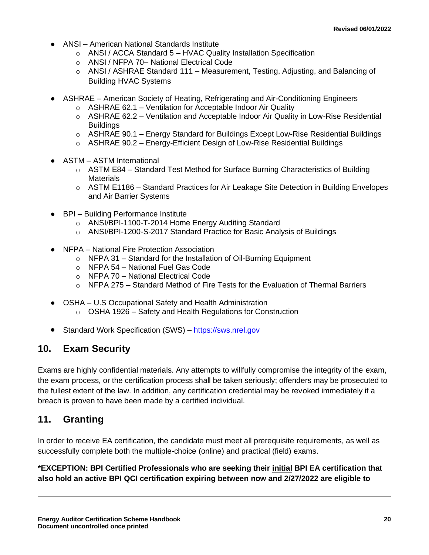- ANSI American National Standards Institute
	- $\circ$  ANSI / ACCA Standard 5 HVAC Quality Installation Specification
	- o ANSI / NFPA 70– National Electrical Code
	- $\circ$  ANSI / ASHRAE Standard 111 Measurement, Testing, Adjusting, and Balancing of Building HVAC Systems
- ASHRAE American Society of Heating, Refrigerating and Air-Conditioning Engineers
	- $\circ$  ASHRAE 62.1 Ventilation for Acceptable Indoor Air Quality
	- $\circ$  ASHRAE 62.2 Ventilation and Acceptable Indoor Air Quality in Low-Rise Residential **Buildings**
	- $\circ$  ASHRAE 90.1 Energy Standard for Buildings Except Low-Rise Residential Buildings
	- $\circ$  ASHRAE 90.2 Energy-Efficient Design of Low-Rise Residential Buildings
- ASTM ASTM International
	- $\circ$  ASTM E84 Standard Test Method for Surface Burning Characteristics of Building **Materials**
	- $\circ$  ASTM E1186 Standard Practices for Air Leakage Site Detection in Building Envelopes and Air Barrier Systems
- BPI Building Performance Institute
	- o ANSI/BPI-1100-T-2014 Home Energy Auditing Standard
	- o ANSI/BPI-1200-S-2017 Standard Practice for Basic Analysis of Buildings
- NFPA National Fire Protection Association
	- o NFPA 31 Standard for the Installation of Oil-Burning Equipment
	- o NFPA 54 National Fuel Gas Code
	- o NFPA 70 National Electrical Code
	- $\circ$  NFPA 275 Standard Method of Fire Tests for the Evaluation of Thermal Barriers
- OSHA U.S Occupational Safety and Health Administration
	- o OSHA 1926 Safety and Health Regulations for Construction
- Standard Work Specification (SWS) [https://sws.nrel.gov](https://sws.nrel.gov/)

### <span id="page-22-0"></span>**10. Exam Security**

Exams are highly confidential materials. Any attempts to willfully compromise the integrity of the exam, the exam process, or the certification process shall be taken seriously; offenders may be prosecuted to the fullest extent of the law. In addition, any certification credential may be revoked immediately if a breach is proven to have been made by a certified individual.

### <span id="page-22-1"></span>**11. Granting**

In order to receive EA certification, the candidate must meet all prerequisite requirements, as well as successfully complete both the multiple-choice (online) and practical (field) exams.

**\*EXCEPTION: BPI Certified Professionals who are seeking their initial BPI EA certification that also hold an active BPI QCI certification expiring between now and 2/27/2022 are eligible to**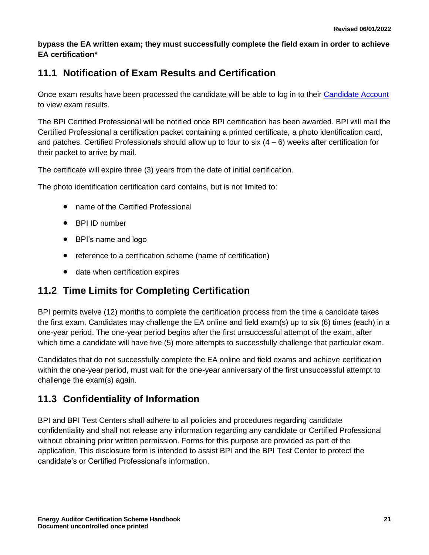**bypass the EA written exam; they must successfully complete the field exam in order to achieve EA certification\***

# **11.1 Notification of Exam Results and Certification**

Once exam results have been processed the candidate will be able to log in to their [Candidate Account](http://www.bpi.org/login) to view exam results.

The BPI Certified Professional will be notified once BPI certification has been awarded. BPI will mail the Certified Professional a certification packet containing a printed certificate, a photo identification card, and patches. Certified Professionals should allow up to four to  $\sin(4-6)$  weeks after certification for their packet to arrive by mail.

The certificate will expire three (3) years from the date of initial certification.

The photo identification certification card contains, but is not limited to:

- name of the Certified Professional
- BPI ID number
- BPI's name and logo
- reference to a certification scheme (name of certification)
- date when certification expires

### **11.2 Time Limits for Completing Certification**

BPI permits twelve (12) months to complete the certification process from the time a candidate takes the first exam. Candidates may challenge the EA online and field exam(s) up to six (6) times (each) in a one-year period. The one-year period begins after the first unsuccessful attempt of the exam, after which time a candidate will have five (5) more attempts to successfully challenge that particular exam.

Candidates that do not successfully complete the EA online and field exams and achieve certification within the one-year period, must wait for the one-year anniversary of the first unsuccessful attempt to challenge the exam(s) again.

### **11.3 Confidentiality of Information**

BPI and BPI Test Centers shall adhere to all policies and procedures regarding candidate confidentiality and shall not release any information regarding any candidate or Certified Professional without obtaining prior written permission. Forms for this purpose are provided as part of the application. This disclosure form is intended to assist BPI and the BPI Test Center to protect the candidate's or Certified Professional's information.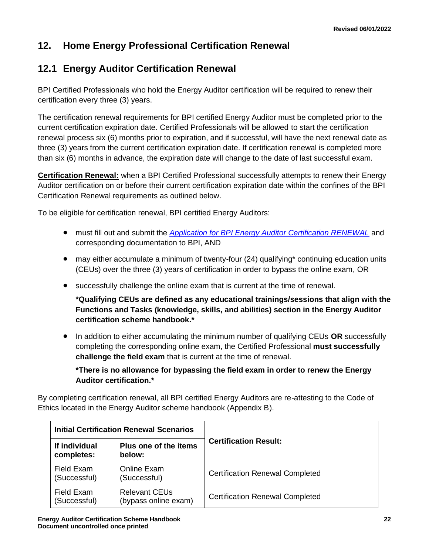# <span id="page-24-0"></span>**12. Home Energy Professional Certification Renewal**

### **12.1 Energy Auditor Certification Renewal**

BPI Certified Professionals who hold the Energy Auditor certification will be required to renew their certification every three (3) years.

The certification renewal requirements for BPI certified Energy Auditor must be completed prior to the current certification expiration date. Certified Professionals will be allowed to start the certification renewal process six (6) months prior to expiration, and if successful, will have the next renewal date as three (3) years from the current certification expiration date. If certification renewal is completed more than six (6) months in advance, the expiration date will change to the date of last successful exam.

**Certification Renewal:** when a BPI Certified Professional successfully attempts to renew their Energy Auditor certification on or before their current certification expiration date within the confines of the BPI Certification Renewal requirements as outlined below.

To be eligible for certification renewal, BPI certified Energy Auditors:

- must fill out and submit the *[Application for BPI Energy Auditor Certification RENEWAL](http://bpi.org/sites/default/files/Application%20for%20Energy%20Auditor%20RENEWAL.pdf)* and corresponding documentation to BPI, AND
- may either accumulate a minimum of twenty-four (24) qualifying\* continuing education units (CEUs) over the three (3) years of certification in order to bypass the online exam, OR
- successfully challenge the online exam that is current at the time of renewal.

**\*Qualifying CEUs are defined as any educational trainings/sessions that align with the Functions and Tasks (knowledge, skills, and abilities) section in the Energy Auditor certification scheme handbook.\***

• In addition to either accumulating the minimum number of qualifying CEUs **OR** successfully completing the corresponding online exam, the Certified Professional **must successfully challenge the field exam** that is current at the time of renewal.

**\*There is no allowance for bypassing the field exam in order to renew the Energy Auditor certification.\***

By completing certification renewal, all BPI certified Energy Auditors are re-attesting to the Code of Ethics located in the Energy Auditor scheme handbook (Appendix B).

| <b>Initial Certification Renewal Scenarios</b> |                                              |                                        |  |
|------------------------------------------------|----------------------------------------------|----------------------------------------|--|
| If individual<br>completes:                    | Plus one of the items<br>below:              | <b>Certification Result:</b>           |  |
| Field Exam<br>(Successful)                     | <b>Online Exam</b><br>(Successful)           | <b>Certification Renewal Completed</b> |  |
| Field Exam<br>(Successful)                     | <b>Relevant CEUs</b><br>(bypass online exam) | <b>Certification Renewal Completed</b> |  |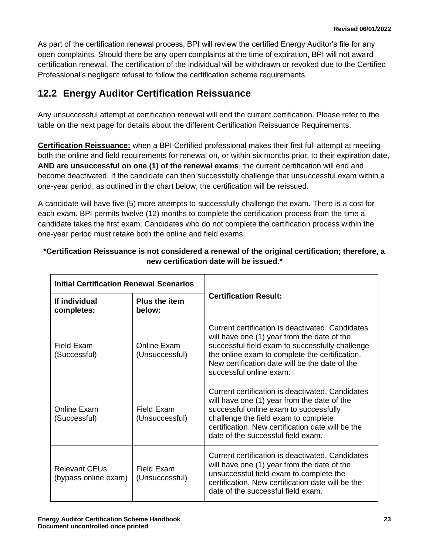As part of the certification renewal process, BPI will review the certified Energy Auditor's file for any open complaints. Should there be any open complaints at the time of expiration, BPI will not award certification renewal. The certification of the individual will be withdrawn or revoked due to the Certified Professional's negligent refusal to follow the certification scheme requirements.

### **12.2 Energy Auditor Certification Reissuance**

Any unsuccessful attempt at certification renewal will end the current certification. Please refer to the table on the next page for details about the different Certification Reissuance Requirements.

**Certification Reissuance:** when a BPI Certified professional makes their first full attempt at meeting both the online and field requirements for renewal on, or within six months prior, to their expiration date, **AND are unsuccessful on one (1) of the renewal exams**, the current certification will end and become deactivated. If the candidate can then successfully challenge that unsuccessful exam within a one-year period, as outlined in the chart below, the certification will be reissued.

A candidate will have five (5) more attempts to successfully challenge the exam. There is a cost for each exam. BPI permits twelve (12) months to complete the certification process from the time a candidate takes the first exam. Candidates who do not complete the certification process within the one-year period must retake both the online and field exams.

| <b>Initial Certification Renewal Scenarios</b> |                                |                                                                                                                                                                                                                                                                                   |  |
|------------------------------------------------|--------------------------------|-----------------------------------------------------------------------------------------------------------------------------------------------------------------------------------------------------------------------------------------------------------------------------------|--|
| If individual<br>completes:                    | <b>Plus the item</b><br>helow: | <b>Certification Result:</b>                                                                                                                                                                                                                                                      |  |
| Field Exam<br>(Successful)                     | Online Exam<br>(Unsuccessful)  | Current certification is deactivated. Candidates<br>will have one (1) year from the date of the<br>successful field exam to successfully challenge<br>the online exam to complete the certification.<br>New certification date will be the date of the<br>successful online exam. |  |
| Online Exam<br>(Successful)                    | Field Fxam<br>(Unsuccessful)   | Current certification is deactivated. Candidates<br>will have one (1) year from the date of the<br>successful online exam to successfully<br>challenge the field exam to complete<br>certification. New certification date will be the<br>date of the successful field exam.      |  |
| <b>Relevant CEUs</b><br>(bypass online exam)   | Field Fxam<br>(Unsuccessful)   | Current certification is deactivated. Candidates<br>will have one (1) year from the date of the<br>unsuccessful field exam to complete the<br>certification. New certification date will be the<br>date of the successful field exam.                                             |  |

### **\*Certification Reissuance is not considered a renewal of the original certification; therefore, a new certification date will be issued.\***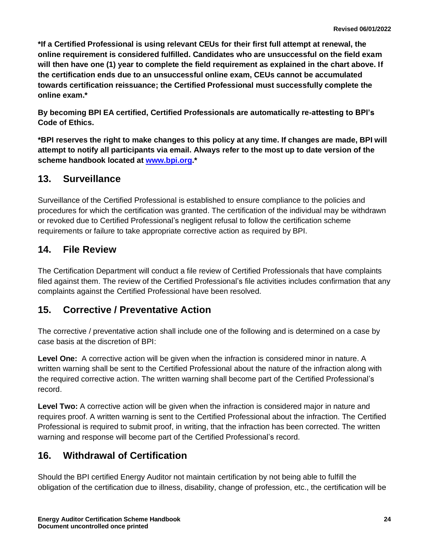**\*If a Certified Professional is using relevant CEUs for their first full attempt at renewal, the online requirement is considered fulfilled. Candidates who are unsuccessful on the field exam will then have one (1) year to complete the field requirement as explained in the chart above. If the certification ends due to an unsuccessful online exam, CEUs cannot be accumulated towards certification reissuance; the Certified Professional must successfully complete the online exam.\***

**By becoming BPI EA certified, Certified Professionals are automatically re-attesting to BPI's Code of Ethics.**

**\*BPI reserves the right to make changes to this policy at any time. If changes are made, BPI will attempt to notify all participants via email. Always refer to the most up to date version of the scheme handbook located at [www.bpi.org.](http://www.bpi.org/)\***

# <span id="page-26-0"></span>**13. Surveillance**

Surveillance of the Certified Professional is established to ensure compliance to the policies and procedures for which the certification was granted. The certification of the individual may be withdrawn or revoked due to Certified Professional's negligent refusal to follow the certification scheme requirements or failure to take appropriate corrective action as required by BPI.

# <span id="page-26-1"></span>**14. File Review**

The Certification Department will conduct a file review of Certified Professionals that have complaints filed against them. The review of the Certified Professional's file activities includes confirmation that any complaints against the Certified Professional have been resolved.

### <span id="page-26-2"></span>**15. Corrective / Preventative Action**

The corrective / preventative action shall include one of the following and is determined on a case by case basis at the discretion of BPI:

**Level One:** A corrective action will be given when the infraction is considered minor in nature. A written warning shall be sent to the Certified Professional about the nature of the infraction along with the required corrective action. The written warning shall become part of the Certified Professional's record.

**Level Two:** A corrective action will be given when the infraction is considered major in nature and requires proof. A written warning is sent to the Certified Professional about the infraction. The Certified Professional is required to submit proof, in writing, that the infraction has been corrected. The written warning and response will become part of the Certified Professional's record.

### <span id="page-26-3"></span>**16. Withdrawal of Certification**

Should the BPI certified Energy Auditor not maintain certification by not being able to fulfill the obligation of the certification due to illness, disability, change of profession, etc., the certification will be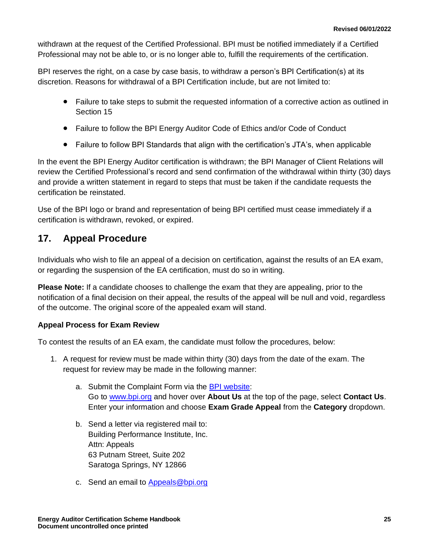withdrawn at the request of the Certified Professional. BPI must be notified immediately if a Certified Professional may not be able to, or is no longer able to, fulfill the requirements of the certification.

BPI reserves the right, on a case by case basis, to withdraw a person's BPI Certification(s) at its discretion. Reasons for withdrawal of a BPI Certification include, but are not limited to:

- Failure to take steps to submit the requested information of a corrective action as outlined in Section 15
- Failure to follow the BPI Energy Auditor Code of Ethics and/or Code of Conduct
- Failure to follow BPI Standards that align with the certification's JTA's, when applicable

In the event the BPI Energy Auditor certification is withdrawn; the BPI Manager of Client Relations will review the Certified Professional's record and send confirmation of the withdrawal within thirty (30) days and provide a written statement in regard to steps that must be taken if the candidate requests the certification be reinstated.

Use of the BPI logo or brand and representation of being BPI certified must cease immediately if a certification is withdrawn, revoked, or expired.

# <span id="page-27-0"></span>**17. Appeal Procedure**

Individuals who wish to file an appeal of a decision on certification, against the results of an EA exam, or regarding the suspension of the EA certification, must do so in writing.

**Please Note:** If a candidate chooses to challenge the exam that they are appealing, prior to the notification of a final decision on their appeal, the results of the appeal will be null and void, regardless of the outcome. The original score of the appealed exam will stand.

#### **Appeal Process for Exam Review**

To contest the results of an EA exam, the candidate must follow the procedures, below:

- 1. A request for review must be made within thirty (30) days from the date of the exam. The request for review may be made in the following manner:
	- a. Submit the Complaint Form via the [BPI website:](http://www.bpi.org/about-us/contact-us) Go to [www.bpi.org](http://www.bpi.org/) and hover over **About Us** at the top of the page, select **Contact Us**. Enter your information and choose **Exam Grade Appeal** from the **Category** dropdown.
	- b. Send a letter via registered mail to: Building Performance Institute, Inc. Attn: Appeals 63 Putnam Street, Suite 202 Saratoga Springs, NY 12866
	- c. Send an email to [Appeals@bpi.org](mailto:Appeals@bpi.org)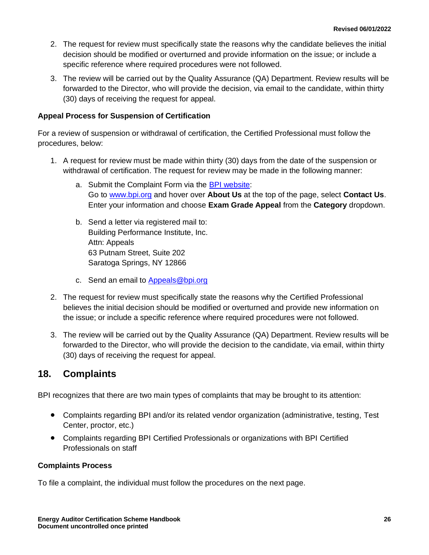- 2. The request for review must specifically state the reasons why the candidate believes the initial decision should be modified or overturned and provide information on the issue; or include a specific reference where required procedures were not followed.
- 3. The review will be carried out by the Quality Assurance (QA) Department. Review results will be forwarded to the Director, who will provide the decision, via email to the candidate, within thirty (30) days of receiving the request for appeal.

#### **Appeal Process for Suspension of Certification**

For a review of suspension or withdrawal of certification, the Certified Professional must follow the procedures, below:

- 1. A request for review must be made within thirty (30) days from the date of the suspension or withdrawal of certification. The request for review may be made in the following manner:
	- a. Submit the Complaint Form via the [BPI website:](http://www.bpi.org/about-us/contact-us) Go to [www.bpi.org](http://www.bpi.org/) and hover over **About Us** at the top of the page, select **Contact Us**. Enter your information and choose **Exam Grade Appeal** from the **Category** dropdown.
	- b. Send a letter via registered mail to: Building Performance Institute, Inc. Attn: Appeals 63 Putnam Street, Suite 202 Saratoga Springs, NY 12866
	- c. Send an email to [Appeals@bpi.org](mailto:Appeals@bpi.org)
- 2. The request for review must specifically state the reasons why the Certified Professional believes the initial decision should be modified or overturned and provide new information on the issue; or include a specific reference where required procedures were not followed.
- 3. The review will be carried out by the Quality Assurance (QA) Department. Review results will be forwarded to the Director, who will provide the decision to the candidate, via email, within thirty (30) days of receiving the request for appeal.

### <span id="page-28-0"></span>**18. Complaints**

BPI recognizes that there are two main types of complaints that may be brought to its attention:

- Complaints regarding BPI and/or its related vendor organization (administrative, testing, Test Center, proctor, etc.)
- Complaints regarding BPI Certified Professionals or organizations with BPI Certified Professionals on staff

#### **Complaints Process**

To file a complaint, the individual must follow the procedures on the next page.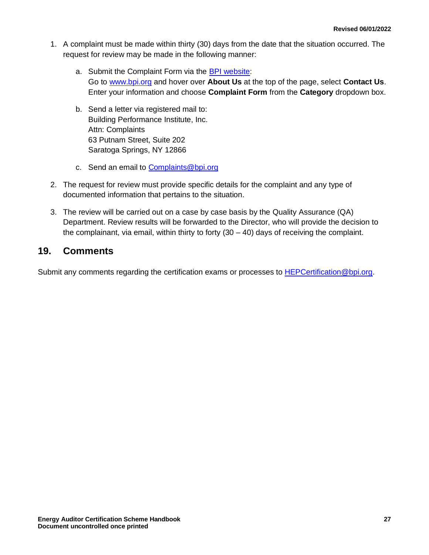- 1. A complaint must be made within thirty (30) days from the date that the situation occurred. The request for review may be made in the following manner:
	- a. Submit the Complaint Form via the [BPI website:](http://www.bpi.org/about-us/contact-us) Go to [www.bpi.org](http://www.bpi.org/) and hover over **About Us** at the top of the page, select **Contact Us**. Enter your information and choose **Complaint Form** from the **Category** dropdown box.
	- b. Send a letter via registered mail to: Building Performance Institute, Inc. Attn: Complaints 63 Putnam Street, Suite 202 Saratoga Springs, NY 12866
	- c. Send an email to [Complaints@bpi.org](mailto:Complaints@bpi.org)
- 2. The request for review must provide specific details for the complaint and any type of documented information that pertains to the situation.
- 3. The review will be carried out on a case by case basis by the Quality Assurance (QA) Department. Review results will be forwarded to the Director, who will provide the decision to the complainant, via email, within thirty to forty  $(30 - 40)$  days of receiving the complaint.

### <span id="page-29-0"></span>**19. Comments**

Submit any comments regarding the certification exams or processes to **HEPCertification@bpi.org.**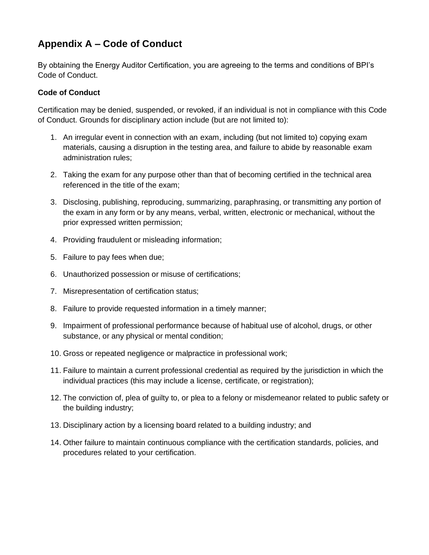# <span id="page-30-0"></span>**Appendix A – Code of Conduct**

By obtaining the Energy Auditor Certification, you are agreeing to the terms and conditions of BPI's Code of Conduct.

#### **Code of Conduct**

Certification may be denied, suspended, or revoked, if an individual is not in compliance with this Code of Conduct. Grounds for disciplinary action include (but are not limited to):

- 1. An irregular event in connection with an exam, including (but not limited to) copying exam materials, causing a disruption in the testing area, and failure to abide by reasonable exam administration rules;
- 2. Taking the exam for any purpose other than that of becoming certified in the technical area referenced in the title of the exam;
- 3. Disclosing, publishing, reproducing, summarizing, paraphrasing, or transmitting any portion of the exam in any form or by any means, verbal, written, electronic or mechanical, without the prior expressed written permission;
- 4. Providing fraudulent or misleading information;
- 5. Failure to pay fees when due;
- 6. Unauthorized possession or misuse of certifications;
- 7. Misrepresentation of certification status;
- 8. Failure to provide requested information in a timely manner;
- 9. Impairment of professional performance because of habitual use of alcohol, drugs, or other substance, or any physical or mental condition;
- 10. Gross or repeated negligence or malpractice in professional work;
- 11. Failure to maintain a current professional credential as required by the jurisdiction in which the individual practices (this may include a license, certificate, or registration);
- 12. The conviction of, plea of guilty to, or plea to a felony or misdemeanor related to public safety or the building industry;
- 13. Disciplinary action by a licensing board related to a building industry; and
- 14. Other failure to maintain continuous compliance with the certification standards, policies, and procedures related to your certification.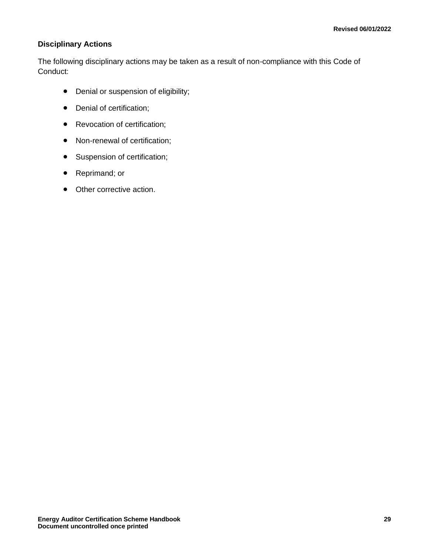#### **Disciplinary Actions**

The following disciplinary actions may be taken as a result of non-compliance with this Code of Conduct:

- Denial or suspension of eligibility;
- Denial of certification;
- Revocation of certification;
- Non-renewal of certification;
- Suspension of certification;
- Reprimand; or
- Other corrective action.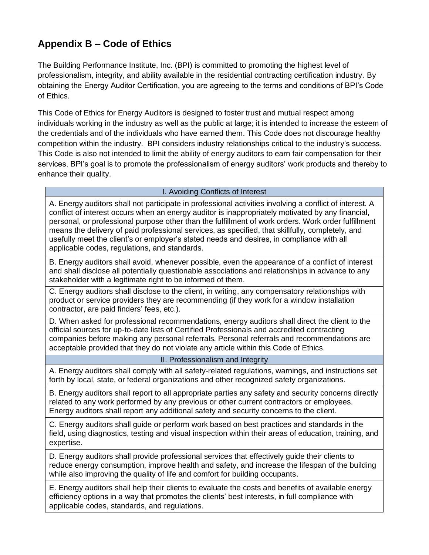# <span id="page-32-0"></span>**Appendix B – Code of Ethics**

The Building Performance Institute, Inc. (BPI) is committed to promoting the highest level of professionalism, integrity, and ability available in the residential contracting certification industry. By obtaining the Energy Auditor Certification, you are agreeing to the terms and conditions of BPI's Code of Ethics.

This Code of Ethics for Energy Auditors is designed to foster trust and mutual respect among individuals working in the industry as well as the public at large; it is intended to increase the esteem of the credentials and of the individuals who have earned them. This Code does not discourage healthy competition within the industry. BPI considers industry relationships critical to the industry's success. This Code is also not intended to limit the ability of energy auditors to earn fair compensation for their services. BPI's goal is to promote the professionalism of energy auditors' work products and thereby to enhance their quality.

#### I. Avoiding Conflicts of Interest

A. Energy auditors shall not participate in professional activities involving a conflict of interest. A conflict of interest occurs when an energy auditor is inappropriately motivated by any financial, personal, or professional purpose other than the fulfillment of work orders. Work order fulfillment means the delivery of paid professional services, as specified, that skillfully, completely, and usefully meet the client's or employer's stated needs and desires, in compliance with all applicable codes, regulations, and standards.

B. Energy auditors shall avoid, whenever possible, even the appearance of a conflict of interest and shall disclose all potentially questionable associations and relationships in advance to any stakeholder with a legitimate right to be informed of them.

C. Energy auditors shall disclose to the client, in writing, any compensatory relationships with product or service providers they are recommending (if they work for a window installation contractor, are paid finders' fees, etc.).

D. When asked for professional recommendations, energy auditors shall direct the client to the official sources for up-to-date lists of Certified Professionals and accredited contracting companies before making any personal referrals. Personal referrals and recommendations are acceptable provided that they do not violate any article within this Code of Ethics.

#### II. Professionalism and Integrity

A. Energy auditors shall comply with all safety-related regulations, warnings, and instructions set forth by local, state, or federal organizations and other recognized safety organizations.

B. Energy auditors shall report to all appropriate parties any safety and security concerns directly related to any work performed by any previous or other current contractors or employees. Energy auditors shall report any additional safety and security concerns to the client.

C. Energy auditors shall guide or perform work based on best practices and standards in the field, using diagnostics, testing and visual inspection within their areas of education, training, and expertise.

D. Energy auditors shall provide professional services that effectively guide their clients to reduce energy consumption, improve health and safety, and increase the lifespan of the building while also improving the quality of life and comfort for building occupants.

E. Energy auditors shall help their clients to evaluate the costs and benefits of available energy efficiency options in a way that promotes the clients' best interests, in full compliance with applicable codes, standards, and regulations.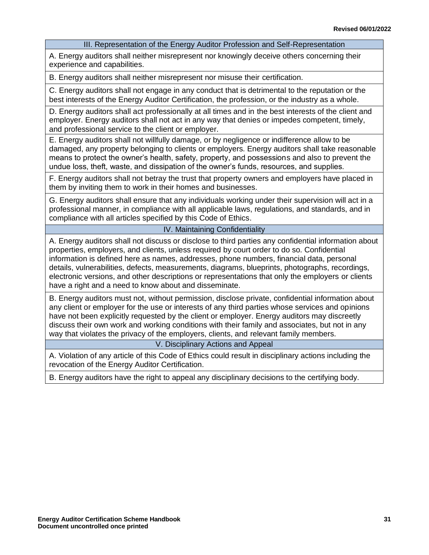III. Representation of the Energy Auditor Profession and Self-Representation

A. Energy auditors shall neither misrepresent nor knowingly deceive others concerning their experience and capabilities.

B. Energy auditors shall neither misrepresent nor misuse their certification.

C. Energy auditors shall not engage in any conduct that is detrimental to the reputation or the best interests of the Energy Auditor Certification, the profession, or the industry as a whole.

D. Energy auditors shall act professionally at all times and in the best interests of the client and employer. Energy auditors shall not act in any way that denies or impedes competent, timely, and professional service to the client or employer.

E. Energy auditors shall not willfully damage, or by negligence or indifference allow to be damaged, any property belonging to clients or employers. Energy auditors shall take reasonable means to protect the owner's health, safety, property, and possessions and also to prevent the undue loss, theft, waste, and dissipation of the owner's funds, resources, and supplies.

F. Energy auditors shall not betray the trust that property owners and employers have placed in them by inviting them to work in their homes and businesses.

G. Energy auditors shall ensure that any individuals working under their supervision will act in a professional manner, in compliance with all applicable laws, regulations, and standards, and in compliance with all articles specified by this Code of Ethics.

#### IV. Maintaining Confidentiality

A. Energy auditors shall not discuss or disclose to third parties any confidential information about properties, employers, and clients, unless required by court order to do so. Confidential information is defined here as names, addresses, phone numbers, financial data, personal details, vulnerabilities, defects, measurements, diagrams, blueprints, photographs, recordings, electronic versions, and other descriptions or representations that only the employers or clients have a right and a need to know about and disseminate.

B. Energy auditors must not, without permission, disclose private, confidential information about any client or employer for the use or interests of any third parties whose services and opinions have not been explicitly requested by the client or employer. Energy auditors may discreetly discuss their own work and working conditions with their family and associates, but not in any way that violates the privacy of the employers, clients, and relevant family members.

V. Disciplinary Actions and Appeal

A. Violation of any article of this Code of Ethics could result in disciplinary actions including the revocation of the Energy Auditor Certification.

B. Energy auditors have the right to appeal any disciplinary decisions to the certifying body.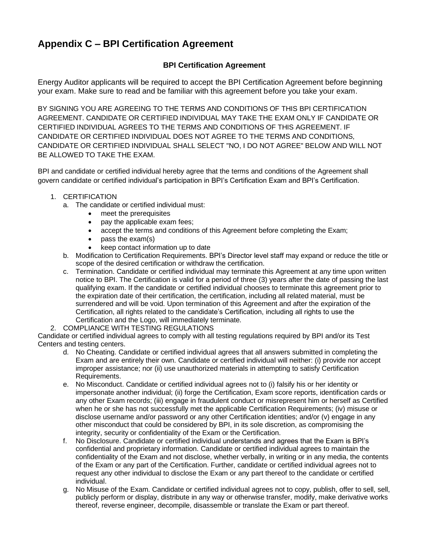# <span id="page-34-0"></span>**Appendix C – BPI Certification Agreement**

#### **BPI Certification Agreement**

Energy Auditor applicants will be required to accept the BPI Certification Agreement before beginning your exam. Make sure to read and be familiar with this agreement before you take your exam.

BY SIGNING YOU ARE AGREEING TO THE TERMS AND CONDITIONS OF THIS BPI CERTIFICATION AGREEMENT. CANDIDATE OR CERTIFIED INDIVIDUAL MAY TAKE THE EXAM ONLY IF CANDIDATE OR CERTIFIED INDIVIDUAL AGREES TO THE TERMS AND CONDITIONS OF THIS AGREEMENT. IF CANDIDATE OR CERTIFIED INDIVIDUAL DOES NOT AGREE TO THE TERMS AND CONDITIONS, CANDIDATE OR CERTIFIED INDIVIDUAL SHALL SELECT "NO, I DO NOT AGREE" BELOW AND WILL NOT BE ALLOWED TO TAKE THE EXAM.

BPI and candidate or certified individual hereby agree that the terms and conditions of the Agreement shall govern candidate or certified individual's participation in BPI's Certification Exam and BPI's Certification.

#### 1. CERTIFICATION

- a. The candidate or certified individual must:
	- meet the prerequisites
	- pay the applicable exam fees;
	- accept the terms and conditions of this Agreement before completing the Exam;
	- pass the exam(s)
	- keep contact information up to date
- b. Modification to Certification Requirements. BPI's Director level staff may expand or reduce the title or scope of the desired certification or withdraw the certification.
- c. Termination. Candidate or certified individual may terminate this Agreement at any time upon written notice to BPI. The Certification is valid for a period of three (3) years after the date of passing the last qualifying exam. If the candidate or certified individual chooses to terminate this agreement prior to the expiration date of their certification, the certification, including all related material, must be surrendered and will be void. Upon termination of this Agreement and after the expiration of the Certification, all rights related to the candidate's Certification, including all rights to use the Certification and the Logo, will immediately terminate.
- 2. COMPLIANCE WITH TESTING REGULATIONS

Candidate or certified individual agrees to comply with all testing regulations required by BPI and/or its Test Centers and testing centers.

- d. No Cheating. Candidate or certified individual agrees that all answers submitted in completing the Exam and are entirely their own. Candidate or certified individual will neither: (i) provide nor accept improper assistance; nor (ii) use unauthorized materials in attempting to satisfy Certification Requirements.
- e. No Misconduct. Candidate or certified individual agrees not to (i) falsify his or her identity or impersonate another individual; (ii) forge the Certification, Exam score reports, identification cards or any other Exam records; (iii) engage in fraudulent conduct or misrepresent him or herself as Certified when he or she has not successfully met the applicable Certification Requirements; (iv) misuse or disclose username and/or password or any other Certification identities; and/or (v) engage in any other misconduct that could be considered by BPI, in its sole discretion, as compromising the integrity, security or confidentiality of the Exam or the Certification.
- f. No Disclosure. Candidate or certified individual understands and agrees that the Exam is BPI's confidential and proprietary information. Candidate or certified individual agrees to maintain the confidentiality of the Exam and not disclose, whether verbally, in writing or in any media, the contents of the Exam or any part of the Certification. Further, candidate or certified individual agrees not to request any other individual to disclose the Exam or any part thereof to the candidate or certified individual.
- g. No Misuse of the Exam. Candidate or certified individual agrees not to copy, publish, offer to sell, sell, publicly perform or display, distribute in any way or otherwise transfer, modify, make derivative works thereof, reverse engineer, decompile, disassemble or translate the Exam or part thereof.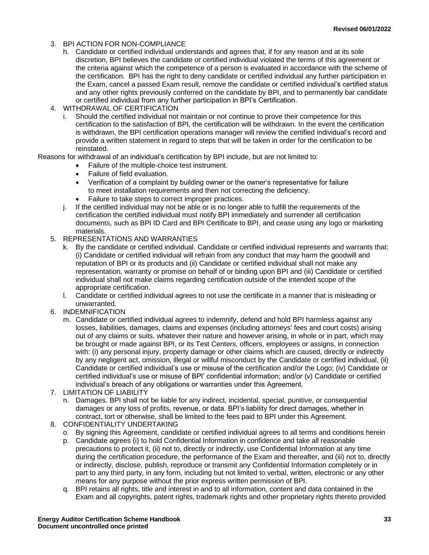- 3. BPI ACTION FOR NON-COMPLIANCE
	- h. Candidate or certified individual understands and agrees that, if for any reason and at its sole discretion, BPI believes the candidate or certified individual violated the terms of this agreement or the criteria against which the competence of a person is evaluated in accordance with the scheme of the certification. BPI has the right to deny candidate or certified individual any further participation in the Exam, cancel a passed Exam result, remove the candidate or certified individual's certified status and any other rights previously conferred on the candidate by BPI, and to permanently bar candidate or certified individual from any further participation in BPI's Certification.
- 4. WITHDRAWAL OF CERTIFICATION
	- Should the certified individual not maintain or not continue to prove their competence for this certification to the satisfaction of BPI, the certification will be withdrawn. In the event the certification is withdrawn, the BPI certification operations manager will review the certified individual's record and provide a written statement in regard to steps that will be taken in order for the certification to be reinstated.

Reasons for withdrawal of an individual's certification by BPI include, but are not limited to:

- Failure of the multiple-choice test instrument.
- Failure of field evaluation.
- Verification of a complaint by building owner or the owner's representative for failure to meet installation requirements and then not correcting the deficiency.
- Failure to take steps to correct improper practices.
- j. If the certified individual may not be able or is no longer able to fulfill the requirements of the certification the certified individual must notify BPI immediately and surrender all certification documents, such as BPI ID Card and BPI Certificate to BPI, and cease using any logo or marketing materials.
- 5. REPRESENTATIONS AND WARRANTIES
	- k. By the candidate or certified individual. Candidate or certified individual represents and warrants that: (i) Candidate or certified individual will refrain from any conduct that may harm the goodwill and reputation of BPI or its products and (ii) Candidate or certified individual shall not make any representation, warranty or promise on behalf of or binding upon BPI and (iii) Candidate or certified individual shall not make claims regarding certification outside of the intended scope of the appropriate certification.
	- l. Candidate or certified individual agrees to not use the certificate in a manner that is misleading or unwarranted.
- 6. INDEMNIFICATION
	- m. Candidate or certified individual agrees to indemnify, defend and hold BPI harmless against any losses, liabilities, damages, claims and expenses (including attorneys' fees and court costs) arising out of any claims or suits, whatever their nature and however arising, in whole or in part, which may be brought or made against BPI, or its Test Centers, officers, employees or assigns, in connection with: (i) any personal injury, property damage or other claims which are caused, directly or indirectly by any negligent act, omission, illegal or willful misconduct by the Candidate or certified individual, (ii) Candidate or certified individual's use or misuse of the certification and/or the Logo; (iv) Candidate or certified individual's use or misuse of BPI' confidential information; and/or (v) Candidate or certified individual's breach of any obligations or warranties under this Agreement.
- 7. LIMITATION OF LIABILITY
	- n. Damages. BPI shall not be liable for any indirect, incidental, special, punitive, or consequential damages or any loss of profits, revenue, or data. BPI's liability for direct damages, whether in contract, tort or otherwise, shall be limited to the fees paid to BPI under this Agreement.
- 8. CONFIDENTIALITY UNDERTAKING
	- o. By signing this Agreement, candidate or certified individual agrees to all terms and conditions herein
	- p. Candidate agrees (i) to hold Confidential Information in confidence and take all reasonable precautions to protect it, (ii) not to, directly or indirectly, use Confidential Information at any time during the certification procedure, the performance of the Exam and thereafter, and (iii) not to, directly or indirectly, disclose, publish, reproduce or transmit any Confidential Information completely or in part to any third party, in any form, including but not limited to verbal, written, electronic or any other means for any purpose without the prior express written permission of BPI.
	- q. BPI retains all rights, title and interest in and to all information, content and data contained in the Exam and all copyrights, patent rights, trademark rights and other proprietary rights thereto provided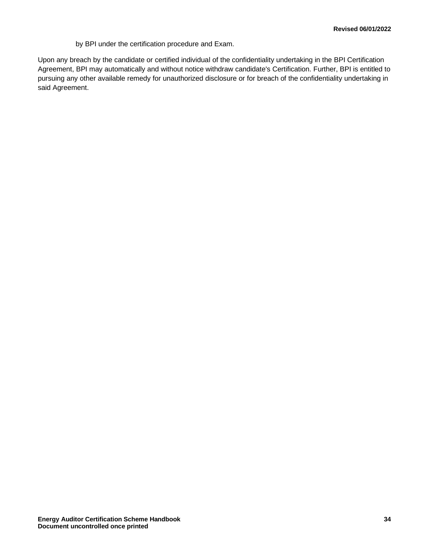by BPI under the certification procedure and Exam.

Upon any breach by the candidate or certified individual of the confidentiality undertaking in the BPI Certification Agreement, BPI may automatically and without notice withdraw candidate's Certification. Further, BPI is entitled to pursuing any other available remedy for unauthorized disclosure or for breach of the confidentiality undertaking in said Agreement.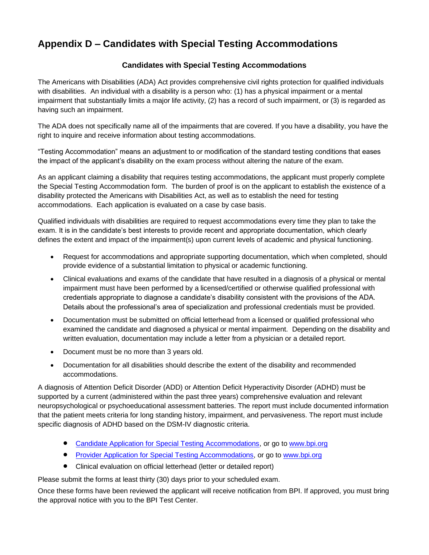# <span id="page-37-0"></span>**Appendix D – Candidates with Special Testing Accommodations**

#### **Candidates with Special Testing Accommodations**

The Americans with Disabilities (ADA) Act provides comprehensive civil rights protection for qualified individuals with disabilities. An individual with a disability is a person who: (1) has a physical impairment or a mental impairment that substantially limits a major life activity, (2) has a record of such impairment, or (3) is regarded as having such an impairment.

The ADA does not specifically name all of the impairments that are covered. If you have a disability, you have the right to inquire and receive information about testing accommodations.

"Testing Accommodation" means an adjustment to or modification of the standard testing conditions that eases the impact of the applicant's disability on the exam process without altering the nature of the exam.

As an applicant claiming a disability that requires testing accommodations, the applicant must properly complete the Special Testing Accommodation form. The burden of proof is on the applicant to establish the existence of a disability protected the Americans with Disabilities Act, as well as to establish the need for testing accommodations. Each application is evaluated on a case by case basis.

Qualified individuals with disabilities are required to request accommodations every time they plan to take the exam. It is in the candidate's best interests to provide recent and appropriate documentation, which clearly defines the extent and impact of the impairment(s) upon current levels of academic and physical functioning.

- Request for accommodations and appropriate supporting documentation, which when completed, should provide evidence of a substantial limitation to physical or academic functioning.
- Clinical evaluations and exams of the candidate that have resulted in a diagnosis of a physical or mental impairment must have been performed by a licensed/certified or otherwise qualified professional with credentials appropriate to diagnose a candidate's disability consistent with the provisions of the ADA. Details about the professional's area of specialization and professional credentials must be provided.
- Documentation must be submitted on official letterhead from a licensed or qualified professional who examined the candidate and diagnosed a physical or mental impairment. Depending on the disability and written evaluation, documentation may include a letter from a physician or a detailed report.
- Document must be no more than 3 years old.
- Documentation for all disabilities should describe the extent of the disability and recommended accommodations.

A diagnosis of Attention Deficit Disorder (ADD) or Attention Deficit Hyperactivity Disorder (ADHD) must be supported by a current (administered within the past three years) comprehensive evaluation and relevant neuropsychological or psychoeducational assessment batteries. The report must include documented information that the patient meets criteria for long standing history, impairment, and pervasiveness. The report must include specific diagnosis of ADHD based on the DSM-IV diagnostic criteria.

- [Candidate Application for Special Testing Accommodations,](http://www.bpi.org/certified-professionals/testing-accommodations) or go t[o www.bpi.org](http://www.bpi.org/)
- [Provider Application for Special Testing Accommodations,](http://www.bpi.org/certified-professionals/testing-accommodations) or go to [www.bpi.org](http://www.bpi.org/)
- Clinical evaluation on official letterhead (letter or detailed report)

Please submit the forms at least thirty (30) days prior to your scheduled exam.

Once these forms have been reviewed the applicant will receive notification from BPI. If approved, you must bring the approval notice with you to the BPI Test Center.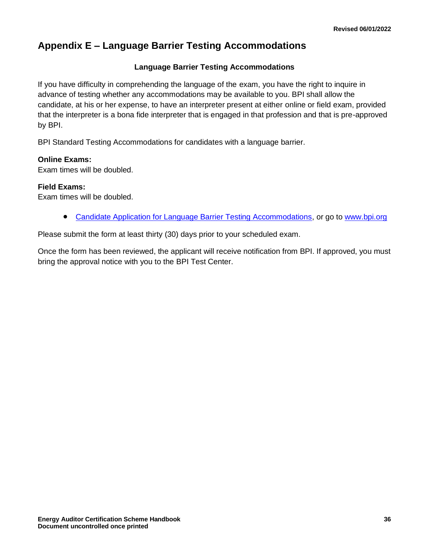# <span id="page-38-0"></span>**Appendix E – Language Barrier Testing Accommodations**

#### **Language Barrier Testing Accommodations**

If you have difficulty in comprehending the language of the exam, you have the right to inquire in advance of testing whether any accommodations may be available to you. BPI shall allow the candidate, at his or her expense, to have an interpreter present at either online or field exam, provided that the interpreter is a bona fide interpreter that is engaged in that profession and that is pre-approved by BPI.

BPI Standard Testing Accommodations for candidates with a language barrier.

#### **Online Exams:**

Exam times will be doubled.

#### **Field Exams:**

Exam times will be doubled.

• [Candidate Application for Language Barrier Testing Accommodations,](http://www.bpi.org/certified-professionals/testing-accommodations) or go to [www.bpi.org](http://www.bpi.org/)

Please submit the form at least thirty (30) days prior to your scheduled exam.

Once the form has been reviewed, the applicant will receive notification from BPI. If approved, you must bring the approval notice with you to the BPI Test Center.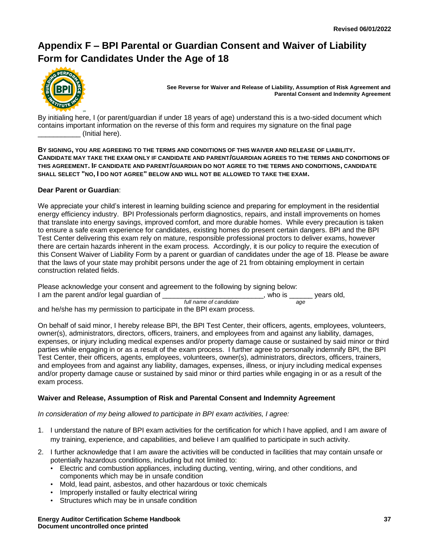# <span id="page-39-0"></span>**Appendix F – BPI Parental or Guardian Consent and Waiver of Liability Form for Candidates Under the Age of 18**

<span id="page-39-1"></span>

**See Reverse for Waiver and Release of Liability, Assumption of Risk Agreement and Parental Consent and Indemnity Agreement**

By initialing here, I (or parent/guardian if under 18 years of age) understand this is a two-sided document which contains important information on the reverse of this form and requires my signature on the final page \_\_\_\_\_\_\_\_\_\_\_ (Initial here).

**BY SIGNING, YOU ARE AGREEING TO THE TERMS AND CONDITIONS OF THIS WAIVER AND RELEASE OF LIABILITY. CANDIDATE MAY TAKE THE EXAM ONLY IF CANDIDATE AND PARENT/GUARDIAN AGREES TO THE TERMS AND CONDITIONS OF THIS AGREEMENT. IF CANDIDATE AND PARENT/GUARDIAN DO NOT AGREE TO THE TERMS AND CONDITIONS, CANDIDATE SHALL SELECT "NO, I DO NOT AGREE" BELOW AND WILL NOT BE ALLOWED TO TAKE THE EXAM.**

#### **Dear Parent or Guardian**:

We appreciate your child's interest in learning building science and preparing for employment in the residential energy efficiency industry. BPI Professionals perform diagnostics, repairs, and install improvements on homes that translate into energy savings, improved comfort, and more durable homes. While every precaution is taken to ensure a safe exam experience for candidates, existing homes do present certain dangers. BPI and the BPI Test Center delivering this exam rely on mature, responsible professional proctors to deliver exams, however there are certain hazards inherent in the exam process. Accordingly, it is our policy to require the execution of this Consent Waiver of Liability Form by a parent or guardian of candidates under the age of 18. Please be aware that the laws of your state may prohibit persons under the age of 21 from obtaining employment in certain construction related fields.

Please acknowledge your consent and agreement to the following by signing below: I am the parent and/or legal guardian of  $\frac{1}{\text{full name of candidate}}$ , who is  $\frac{1}{\text{age}}$  years old, *full name of candidate* and he/she has my permission to participate in the BPI exam process.

On behalf of said minor, I hereby release BPI, the BPI Test Center, their officers, agents, employees, volunteers, owner(s), administrators, directors, officers, trainers, and employees from and against any liability, damages, expenses, or injury including medical expenses and/or property damage cause or sustained by said minor or third parties while engaging in or as a result of the exam process. I further agree to personally indemnify BPI, the BPI Test Center, their officers, agents, employees, volunteers, owner(s), administrators, directors, officers, trainers, and employees from and against any liability, damages, expenses, illness, or injury including medical expenses and/or property damage cause or sustained by said minor or third parties while engaging in or as a result of the exam process.

#### **Waiver and Release, Assumption of Risk and Parental Consent and Indemnity Agreement**

*In consideration of my being allowed to participate in BPI exam activities, I agree:*

- 1. I understand the nature of BPI exam activities for the certification for which I have applied, and I am aware of my training, experience, and capabilities, and believe I am qualified to participate in such activity.
- 2. I further acknowledge that I am aware the activities will be conducted in facilities that may contain unsafe or potentially hazardous conditions, including but not limited to:
	- Electric and combustion appliances, including ducting, venting, wiring, and other conditions, and components which may be in unsafe condition
	- Mold, lead paint, asbestos, and other hazardous or toxic chemicals
	- Improperly installed or faulty electrical wiring
	- Structures which may be in unsafe condition

**Energy Auditor Certification Scheme Handbook 37 Document uncontrolled once printed**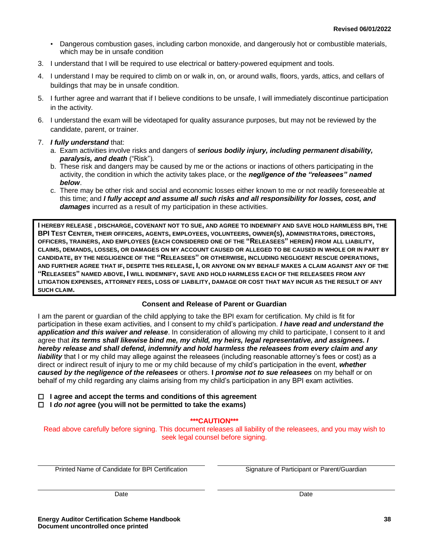- Dangerous combustion gases, including carbon monoxide, and dangerously hot or combustible materials, which may be in unsafe condition
- 3. I understand that I will be required to use electrical or battery-powered equipment and tools.
- 4. I understand I may be required to climb on or walk in, on, or around walls, floors, yards, attics, and cellars of buildings that may be in unsafe condition.
- 5. I further agree and warrant that if I believe conditions to be unsafe, I will immediately discontinue participation in the activity.
- 6. I understand the exam will be videotaped for quality assurance purposes, but may not be reviewed by the candidate, parent, or trainer.
- 7. *I fully understand* that:
	- a. Exam activities involve risks and dangers of *serious bodily injury, including permanent disability, paralysis, and death* ("Risk").
	- b. These risk and dangers may be caused by me or the actions or inactions of others participating in the activity, the condition in which the activity takes place, or the *negligence of the "releasees" named below*.
	- c. There may be other risk and social and economic losses either known to me or not readily foreseeable at this time; and *I fully accept and assume all such risks and all responsibility for losses, cost, and damages* incurred as a result of my participation in these activities.

**I HEREBY RELEASE , DISCHARGE, COVENANT NOT TO SUE, AND AGREE TO INDEMNIFY AND SAVE HOLD HARMLESS BPI, THE**  BPI TEST CENTER, THEIR OFFICERS, AGENTS, EMPLOYEES, VOLUNTEERS, OWNER(S), ADMINISTRATORS, DIRECTORS, **OFFICERS, TRAINERS, AND EMPLOYEES (EACH CONSIDERED ONE OF THE "RELEASEES" HEREIN) FROM ALL LIABILITY, CLAIMS, DEMANDS, LOSSES, OR DAMAGES ON MY ACCOUNT CAUSED OR ALLEGED TO BE CAUSED IN WHOLE OR IN PART BY CANDIDATE, BY THE NEGLIGENCE OF THE "RELEASEES" OR OTHERWISE, INCLUDING NEGLIGENT RESCUE OPERATIONS, AND FURTHER AGREE THAT IF, DESPITE THIS RELEASE, I, OR ANYONE ON MY BEHALF MAKES A CLAIM AGAINST ANY OF THE "RELEASEES" NAMED ABOVE, I WILL INDEMNIFY, SAVE AND HOLD HARMLESS EACH OF THE RELEASEES FROM ANY LITIGATION EXPENSES, ATTORNEY FEES, LOSS OF LIABILITY, DAMAGE OR COST THAT MAY INCUR AS THE RESULT OF ANY SUCH CLAIM.**

#### **Consent and Release of Parent or Guardian**

I am the parent or guardian of the child applying to take the BPI exam for certification. My child is fit for participation in these exam activities, and I consent to my child's participation. *I have read and understand the application and this waiver and release*. In consideration of allowing my child to participate, I consent to it and agree that *its terms shall likewise bind me, my child, my heirs, legal representative, and assignees. I hereby release and shall defend, indemnify and hold harmless the releasees from every claim and any liability* that I or my child may allege against the releasees (including reasonable attorney's fees or cost) as a direct or indirect result of injury to me or my child because of my child's participation in the event, *whether caused by the negligence of the releasees* or others. **I** *promise not to sue releasees* on my behalf or on behalf of my child regarding any claims arising from my child's participation in any BPI exam activities.

 **I agree and accept the terms and conditions of this agreement**

 **I** *do not* **agree (you will not be permitted to take the exams)**

**\*\*\*CAUTION\*\*\***

Read above carefully before signing. This document releases all liability of the releasees, and you may wish to seek legal counsel before signing.

Printed Name of Candidate for BPI Certification Signature of Participant or Parent/Guardian

Date **Date** Date **Date** Date **Date** Date **Date**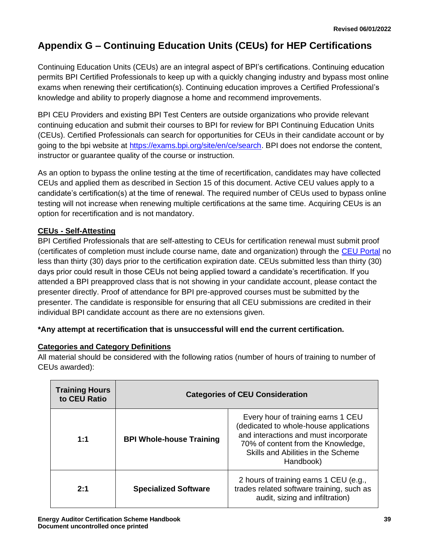# <span id="page-41-0"></span>**Appendix G – Continuing Education Units (CEUs) for HEP Certifications**

Continuing Education Units (CEUs) are an integral aspect of BPI's certifications. Continuing education permits BPI Certified Professionals to keep up with a quickly changing industry and bypass most online exams when renewing their certification(s). Continuing education improves a Certified Professional's knowledge and ability to properly diagnose a home and recommend improvements.

BPI CEU Providers and existing BPI Test Centers are outside organizations who provide relevant continuing education and submit their courses to BPI for review for BPI Continuing Education Units (CEUs). Certified Professionals can search for opportunities for CEUs in their candidate account or by going to the bpi website at [https://exams.bpi.org/site/en/ce/search.](https://exams.bpi.org/site/en/ce/search) BPI does not endorse the content, instructor or guarantee quality of the course or instruction.

As an option to bypass the online testing at the time of recertification, candidates may have collected CEUs and applied them as described in Section 15 of this document. Active CEU values apply to a candidate's certification(s) at the time of renewal. The required number of CEUs used to bypass online testing will not increase when renewing multiple certifications at the same time. Acquiring CEUs is an option for recertification and is not mandatory.

### **CEUs - Self-Attesting**

BPI Certified Professionals that are self-attesting to CEUs for certification renewal must submit proof (certificates of completion must include course name, date and organization) through the [CEU Portal](https://bpi.vgihost.com/site/en/bpi) no less than thirty (30) days prior to the certification expiration date. CEUs submitted less than thirty (30) days prior could result in those CEUs not being applied toward a candidate's recertification. If you attended a BPI preapproved class that is not showing in your candidate account, please contact the presenter directly. Proof of attendance for BPI pre-approved courses must be submitted by the presenter. The candidate is responsible for ensuring that all CEU submissions are credited in their individual BPI candidate account as there are no extensions given.

#### **\*Any attempt at recertification that is unsuccessful will end the current certification.**

#### **Categories and Category Definitions**

All material should be considered with the following ratios (number of hours of training to number of CEUs awarded):

| <b>Training Hours</b><br>to CEU Ratio | <b>Categories of CEU Consideration</b> |                                                                                                                                                                                                                |  |
|---------------------------------------|----------------------------------------|----------------------------------------------------------------------------------------------------------------------------------------------------------------------------------------------------------------|--|
| 1:1                                   | <b>BPI Whole-house Training</b>        | Every hour of training earns 1 CEU<br>(dedicated to whole-house applications<br>and interactions and must incorporate<br>70% of content from the Knowledge,<br>Skills and Abilities in the Scheme<br>Handbook) |  |
| $2 - 1$                               | <b>Specialized Software</b>            | 2 hours of training earns 1 CEU (e.g.,<br>trades related software training, such as<br>audit, sizing and infiltration)                                                                                         |  |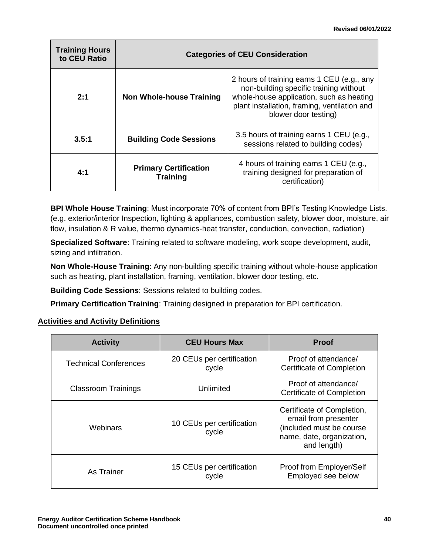| <b>Training Hours</b><br>to CEU Ratio | <b>Categories of CEU Consideration</b>          |                                                                                                                                                                                                          |
|---------------------------------------|-------------------------------------------------|----------------------------------------------------------------------------------------------------------------------------------------------------------------------------------------------------------|
| 2:1                                   | <b>Non Whole-house Training</b>                 | 2 hours of training earns 1 CEU (e.g., any<br>non-building specific training without<br>whole-house application, such as heating<br>plant installation, framing, ventilation and<br>blower door testing) |
| 3.5:1                                 | <b>Building Code Sessions</b>                   | 3.5 hours of training earns 1 CEU (e.g.,<br>sessions related to building codes)                                                                                                                          |
| 4:1                                   | <b>Primary Certification</b><br><b>Training</b> | 4 hours of training earns 1 CEU (e.g.,<br>training designed for preparation of<br>certification)                                                                                                         |

**BPI Whole House Training**: Must incorporate 70% of content from BPI's Testing Knowledge Lists. (e.g. exterior/interior Inspection, lighting & appliances, combustion safety, blower door, moisture, air flow, insulation & R value, thermo dynamics-heat transfer, conduction, convection, radiation)

**Specialized Software**: Training related to software modeling, work scope development, audit, sizing and infiltration.

**Non Whole-House Training**: Any non-building specific training without whole-house application such as heating, plant installation, framing, ventilation, blower door testing, etc.

**Building Code Sessions**: Sessions related to building codes.

**Primary Certification Training**: Training designed in preparation for BPI certification.

### **Activities and Activity Definitions**

| <b>Activity</b>              | <b>CEU Hours Max</b>               | <b>Proof</b>                                                                                                               |
|------------------------------|------------------------------------|----------------------------------------------------------------------------------------------------------------------------|
| <b>Technical Conferences</b> | 20 CEUs per certification<br>cycle | Proof of attendance/<br>Certificate of Completion                                                                          |
| <b>Classroom Trainings</b>   | Unlimited                          | Proof of attendance/<br>Certificate of Completion                                                                          |
| Webinars                     | 10 CEUs per certification<br>cycle | Certificate of Completion,<br>email from presenter<br>(included must be course<br>name, date, organization,<br>and length) |
| As Trainer                   | 15 CEUs per certification<br>cycle | Proof from Employer/Self<br>Employed see below                                                                             |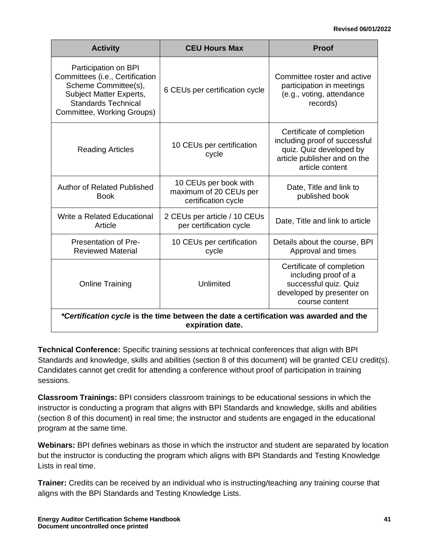#### **Revised 06/01/2022**

| <b>Activity</b>                                                                                                                                                               | <b>CEU Hours Max</b>                                                   | <b>Proof</b>                                                                                                                             |
|-------------------------------------------------------------------------------------------------------------------------------------------------------------------------------|------------------------------------------------------------------------|------------------------------------------------------------------------------------------------------------------------------------------|
| Participation on BPI<br>Committees (i.e., Certification<br>Scheme Committee(s),<br><b>Subject Matter Experts,</b><br><b>Standards Technical</b><br>Committee, Working Groups) | 6 CEUs per certification cycle                                         | Committee roster and active<br>participation in meetings<br>(e.g., voting, attendance<br>records)                                        |
| <b>Reading Articles</b>                                                                                                                                                       | 10 CEUs per certification<br>cycle                                     | Certificate of completion<br>including proof of successful<br>quiz. Quiz developed by<br>article publisher and on the<br>article content |
| <b>Author of Related Published</b><br><b>Book</b>                                                                                                                             | 10 CEUs per book with<br>maximum of 20 CEUs per<br>certification cycle | Date, Title and link to<br>published book                                                                                                |
| Write a Related Educational<br>Article                                                                                                                                        | 2 CEUs per article / 10 CEUs<br>per certification cycle                | Date, Title and link to article                                                                                                          |
| Presentation of Pre-<br><b>Reviewed Material</b>                                                                                                                              | 10 CEUs per certification<br>cycle                                     | Details about the course, BPI<br>Approval and times                                                                                      |
| <b>Online Training</b>                                                                                                                                                        | Unlimited                                                              | Certificate of completion<br>including proof of a<br>successful quiz. Quiz<br>developed by presenter on<br>course content                |
| *Certification cycle is the time between the date a certification was awarded and the<br>expiration date.                                                                     |                                                                        |                                                                                                                                          |

**Technical Conference:** Specific training sessions at technical conferences that align with BPI Standards and knowledge, skills and abilities (section 8 of this document) will be granted CEU credit(s). Candidates cannot get credit for attending a conference without proof of participation in training sessions.

**Classroom Trainings:** BPI considers classroom trainings to be educational sessions in which the instructor is conducting a program that aligns with BPI Standards and knowledge, skills and abilities (section 8 of this document) in real time; the instructor and students are engaged in the educational program at the same time.

**Webinars:** BPI defines webinars as those in which the instructor and student are separated by location but the instructor is conducting the program which aligns with BPI Standards and Testing Knowledge Lists in real time.

**Trainer:** Credits can be received by an individual who is instructing/teaching any training course that aligns with the BPI Standards and Testing Knowledge Lists.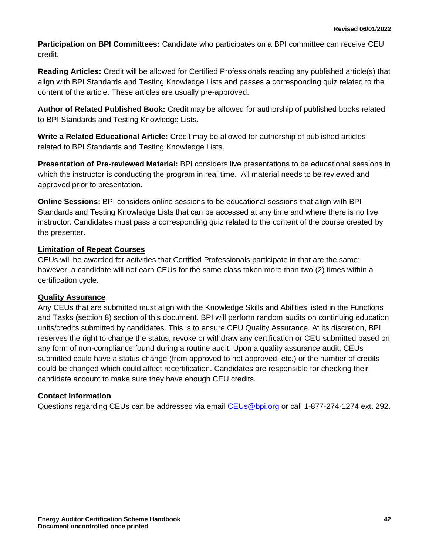**Participation on BPI Committees:** Candidate who participates on a BPI committee can receive CEU credit.

**Reading Articles:** Credit will be allowed for Certified Professionals reading any published article(s) that align with BPI Standards and Testing Knowledge Lists and passes a corresponding quiz related to the content of the article. These articles are usually pre-approved.

**Author of Related Published Book:** Credit may be allowed for authorship of published books related to BPI Standards and Testing Knowledge Lists.

**Write a Related Educational Article:** Credit may be allowed for authorship of published articles related to BPI Standards and Testing Knowledge Lists.

**Presentation of Pre-reviewed Material:** BPI considers live presentations to be educational sessions in which the instructor is conducting the program in real time. All material needs to be reviewed and approved prior to presentation.

**Online Sessions:** BPI considers online sessions to be educational sessions that align with BPI Standards and Testing Knowledge Lists that can be accessed at any time and where there is no live instructor. Candidates must pass a corresponding quiz related to the content of the course created by the presenter.

#### **Limitation of Repeat Courses**

CEUs will be awarded for activities that Certified Professionals participate in that are the same; however, a candidate will not earn CEUs for the same class taken more than two (2) times within a certification cycle.

#### **Quality Assurance**

Any CEUs that are submitted must align with the Knowledge Skills and Abilities listed in the Functions and Tasks (section 8) section of this document. BPI will perform random audits on continuing education units/credits submitted by candidates. This is to ensure CEU Quality Assurance. At its discretion, BPI reserves the right to change the status, revoke or withdraw any certification or CEU submitted based on any form of non-compliance found during a routine audit. Upon a quality assurance audit, CEUs submitted could have a status change (from approved to not approved, etc.) or the number of credits could be changed which could affect recertification. Candidates are responsible for checking their candidate account to make sure they have enough CEU credits.

#### **Contact Information**

Questions regarding CEUs can be addressed via email CEUs@bpi.org or call 1-877-274-1274 ext. 292.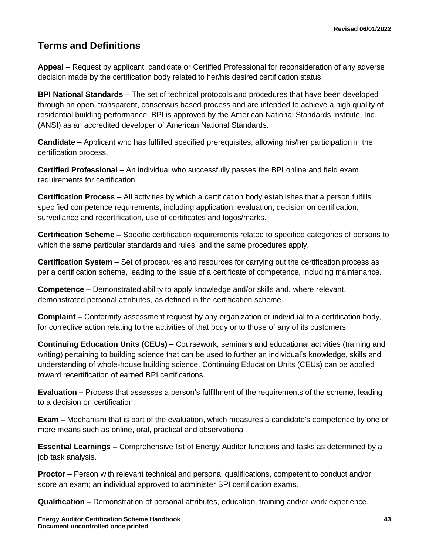### <span id="page-45-0"></span>**Terms and Definitions**

**Appeal –** Request by applicant, candidate or Certified Professional for reconsideration of any adverse decision made by the certification body related to her/his desired certification status.

**BPI National Standards** – The set of technical protocols and procedures that have been developed through an open, transparent, consensus based process and are intended to achieve a high quality of residential building performance. BPI is approved by the American National Standards Institute, Inc. (ANSI) as an accredited developer of American National Standards.

**Candidate –** Applicant who has fulfilled specified prerequisites, allowing his/her participation in the certification process.

**Certified Professional –** An individual who successfully passes the BPI online and field exam requirements for certification.

**Certification Process –** All activities by which a certification body establishes that a person fulfills specified competence requirements, including application, evaluation, decision on certification, surveillance and recertification, use of certificates and logos/marks.

**Certification Scheme –** Specific certification requirements related to specified categories of persons to which the same particular standards and rules, and the same procedures apply.

**Certification System –** Set of procedures and resources for carrying out the certification process as per a certification scheme, leading to the issue of a certificate of competence, including maintenance.

**Competence –** Demonstrated ability to apply knowledge and/or skills and, where relevant, demonstrated personal attributes, as defined in the certification scheme.

**Complaint –** Conformity assessment request by any organization or individual to a certification body, for corrective action relating to the activities of that body or to those of any of its customers.

**Continuing Education Units (CEUs)** – Coursework, seminars and educational activities (training and writing) pertaining to building science that can be used to further an individual's knowledge, skills and understanding of whole-house building science. Continuing Education Units (CEUs) can be applied toward recertification of earned BPI certifications.

**Evaluation –** Process that assesses a person's fulfillment of the requirements of the scheme, leading to a decision on certification.

**Exam –** Mechanism that is part of the evaluation, which measures a candidate's competence by one or more means such as online, oral, practical and observational.

**Essential Learnings –** Comprehensive list of Energy Auditor functions and tasks as determined by a job task analysis.

**Proctor –** Person with relevant technical and personal qualifications, competent to conduct and/or score an exam; an individual approved to administer BPI certification exams.

**Qualification –** Demonstration of personal attributes, education, training and/or work experience.